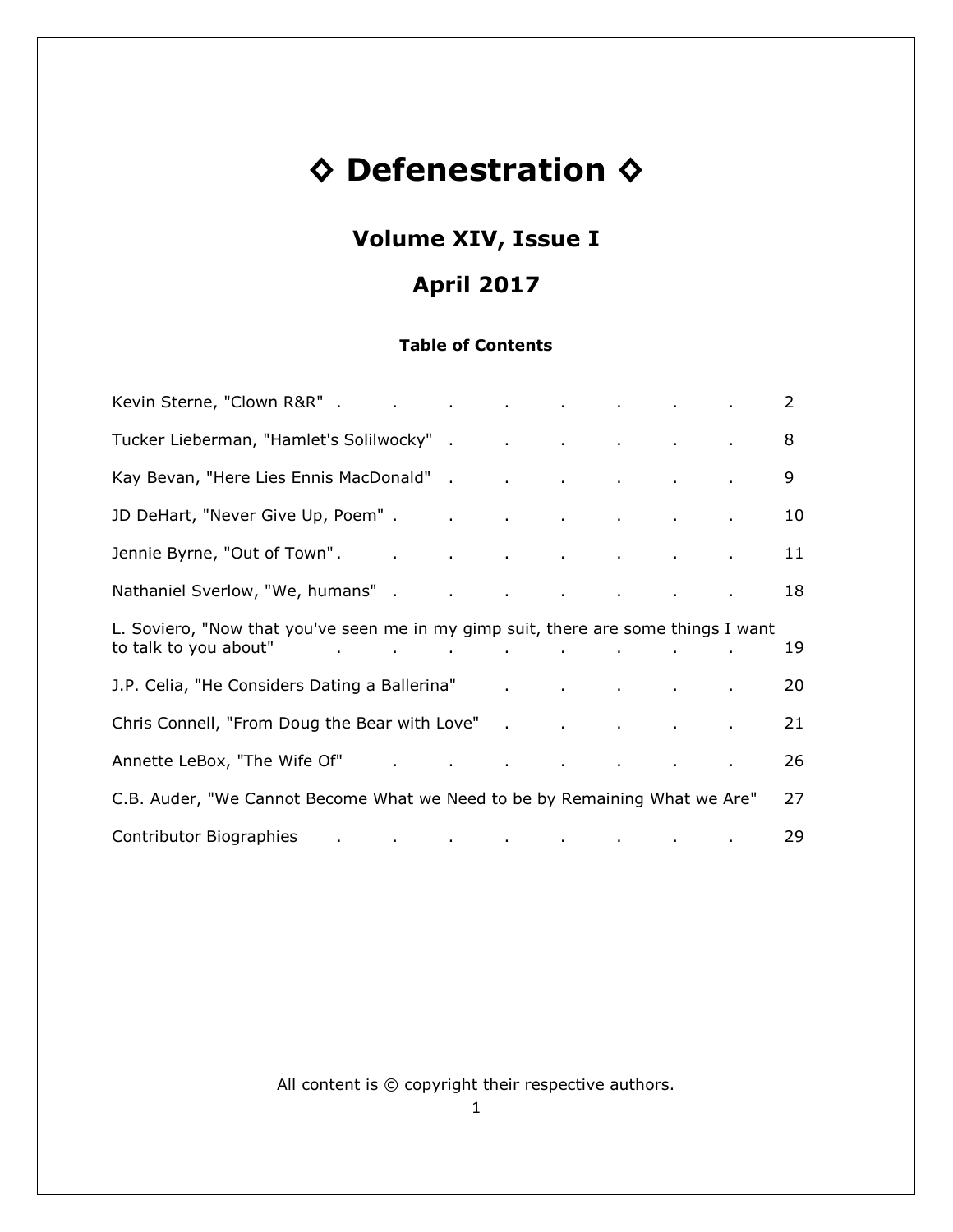# **◊ Defenestration ◊**

# **Volume XIV, Issue I**

# **April 2017**

# **Table of Contents**

|                                                                                                                                                                                                                                |  |  |  | 2  |
|--------------------------------------------------------------------------------------------------------------------------------------------------------------------------------------------------------------------------------|--|--|--|----|
| Tucker Lieberman, "Hamlet's Solilwocky" . The contract of the contract of the contract of the contract of the c                                                                                                                |  |  |  | 8  |
| Kay Bevan, "Here Lies Ennis MacDonald" (and a controller controller controller controller controller controller                                                                                                                |  |  |  | 9  |
| JD DeHart, "Never Give Up, Poem". The analysis of the contract of the contract of the contract of the contract of the contract of the contract of the contract of the contract of the contract of the contract of the contract |  |  |  | 10 |
| Jennie Byrne, "Out of Town". The and the contract of the contract of the contract of the contract of the contra                                                                                                                |  |  |  | 11 |
|                                                                                                                                                                                                                                |  |  |  | 18 |
| L. Soviero, "Now that you've seen me in my gimp suit, there are some things I want<br>to talk to you about" and the set of the set of the set of the set of the set of the set of the set of the set                           |  |  |  | 19 |
| J.P. Celia, "He Considers Dating a Ballerina" and a series of the considers Dating a Ballerina" and a series of the constant of the Constantinople and the Constantinople and the Constantinople and the Constantinople and th |  |  |  | 20 |
| Chris Connell, "From Doug the Bear with Love" . The connect of the connect of the connect of the connect of the connect of the connect of the connect of the connect of the connect of the connect of the connect of the conne |  |  |  | 21 |
|                                                                                                                                                                                                                                |  |  |  | 26 |
| C.B. Auder, "We Cannot Become What we Need to be by Remaining What we Are"                                                                                                                                                     |  |  |  | 27 |
| Contributor Biographies Contributor Biographies                                                                                                                                                                                |  |  |  | 29 |

All content is © copyright their respective authors.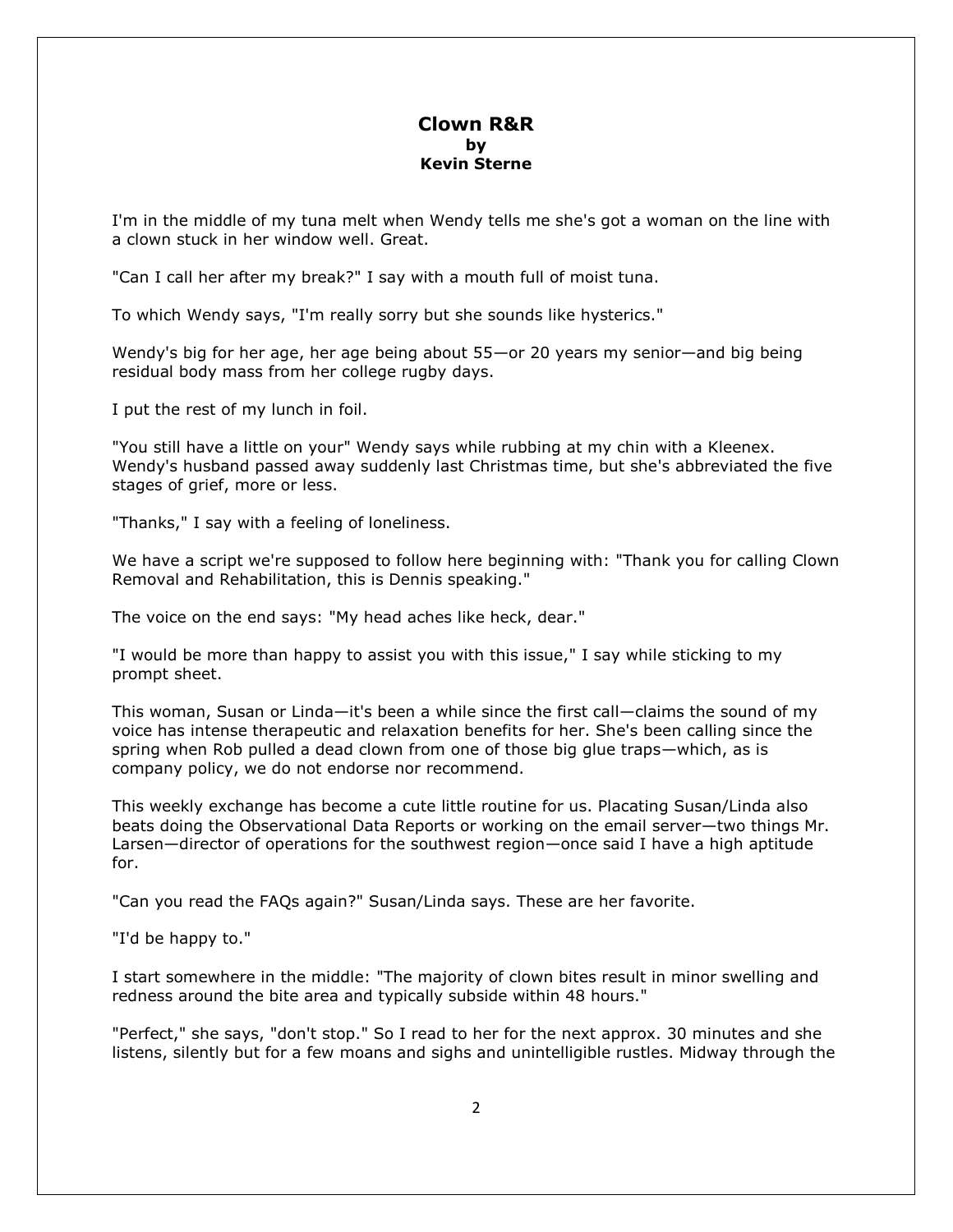# **Clown R&R by Kevin Sterne**

I'm in the middle of my tuna melt when Wendy tells me she's got a woman on the line with a clown stuck in her window well. Great.

"Can I call her after my break?" I say with a mouth full of moist tuna.

To which Wendy says, "I'm really sorry but she sounds like hysterics."

Wendy's big for her age, her age being about 55—or 20 years my senior—and big being residual body mass from her college rugby days.

I put the rest of my lunch in foil.

"You still have a little on your" Wendy says while rubbing at my chin with a Kleenex. Wendy's husband passed away suddenly last Christmas time, but she's abbreviated the five stages of grief, more or less.

"Thanks," I say with a feeling of loneliness.

We have a script we're supposed to follow here beginning with: "Thank you for calling Clown Removal and Rehabilitation, this is Dennis speaking."

The voice on the end says: "My head aches like heck, dear."

"I would be more than happy to assist you with this issue," I say while sticking to my prompt sheet.

This woman, Susan or Linda—it's been a while since the first call—claims the sound of my voice has intense therapeutic and relaxation benefits for her. She's been calling since the spring when Rob pulled a dead clown from one of those big glue traps—which, as is company policy, we do not endorse nor recommend.

This weekly exchange has become a cute little routine for us. Placating Susan/Linda also beats doing the Observational Data Reports or working on the email server—two things Mr. Larsen—director of operations for the southwest region—once said I have a high aptitude for.

"Can you read the FAQs again?" Susan/Linda says. These are her favorite.

"I'd be happy to."

I start somewhere in the middle: "The majority of clown bites result in minor swelling and redness around the bite area and typically subside within 48 hours."

"Perfect," she says, "don't stop." So I read to her for the next approx. 30 minutes and she listens, silently but for a few moans and sighs and unintelligible rustles. Midway through the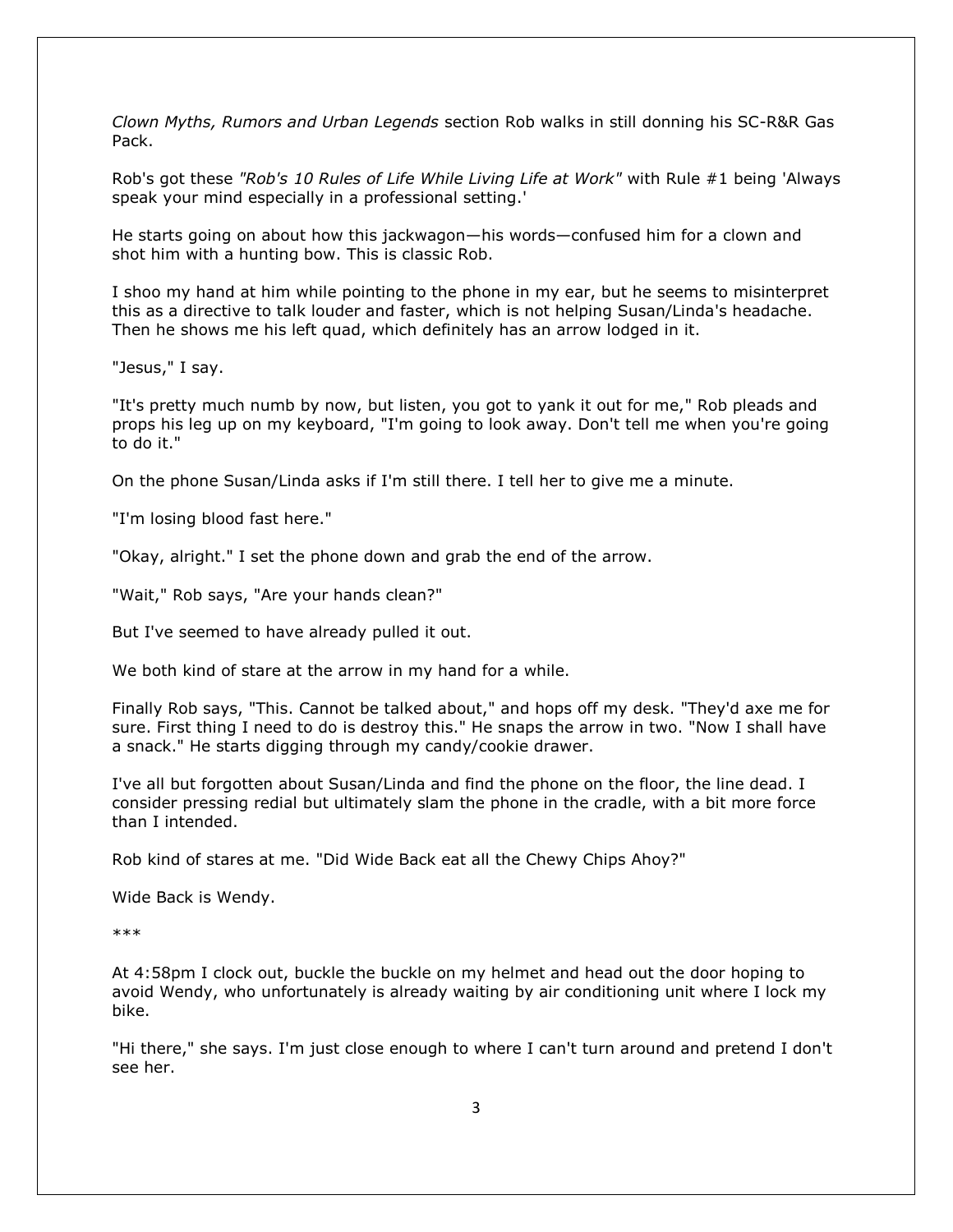*Clown Myths, Rumors and Urban Legends* section Rob walks in still donning his SC-R&R Gas Pack.

Rob's got these *"Rob's 10 Rules of Life While Living Life at Work"* with Rule #1 being 'Always speak your mind especially in a professional setting.'

He starts going on about how this jackwagon—his words—confused him for a clown and shot him with a hunting bow. This is classic Rob.

I shoo my hand at him while pointing to the phone in my ear, but he seems to misinterpret this as a directive to talk louder and faster, which is not helping Susan/Linda's headache. Then he shows me his left quad, which definitely has an arrow lodged in it.

"Jesus," I say.

"It's pretty much numb by now, but listen, you got to yank it out for me," Rob pleads and props his leg up on my keyboard, "I'm going to look away. Don't tell me when you're going to do it."

On the phone Susan/Linda asks if I'm still there. I tell her to give me a minute.

"I'm losing blood fast here."

"Okay, alright." I set the phone down and grab the end of the arrow.

"Wait," Rob says, "Are your hands clean?"

But I've seemed to have already pulled it out.

We both kind of stare at the arrow in my hand for a while.

Finally Rob says, "This. Cannot be talked about," and hops off my desk. "They'd axe me for sure. First thing I need to do is destroy this." He snaps the arrow in two. "Now I shall have a snack." He starts digging through my candy/cookie drawer.

I've all but forgotten about Susan/Linda and find the phone on the floor, the line dead. I consider pressing redial but ultimately slam the phone in the cradle, with a bit more force than I intended.

Rob kind of stares at me. "Did Wide Back eat all the Chewy Chips Ahoy?"

Wide Back is Wendy.

\*\*\*

At 4:58pm I clock out, buckle the buckle on my helmet and head out the door hoping to avoid Wendy, who unfortunately is already waiting by air conditioning unit where I lock my bike.

"Hi there," she says. I'm just close enough to where I can't turn around and pretend I don't see her.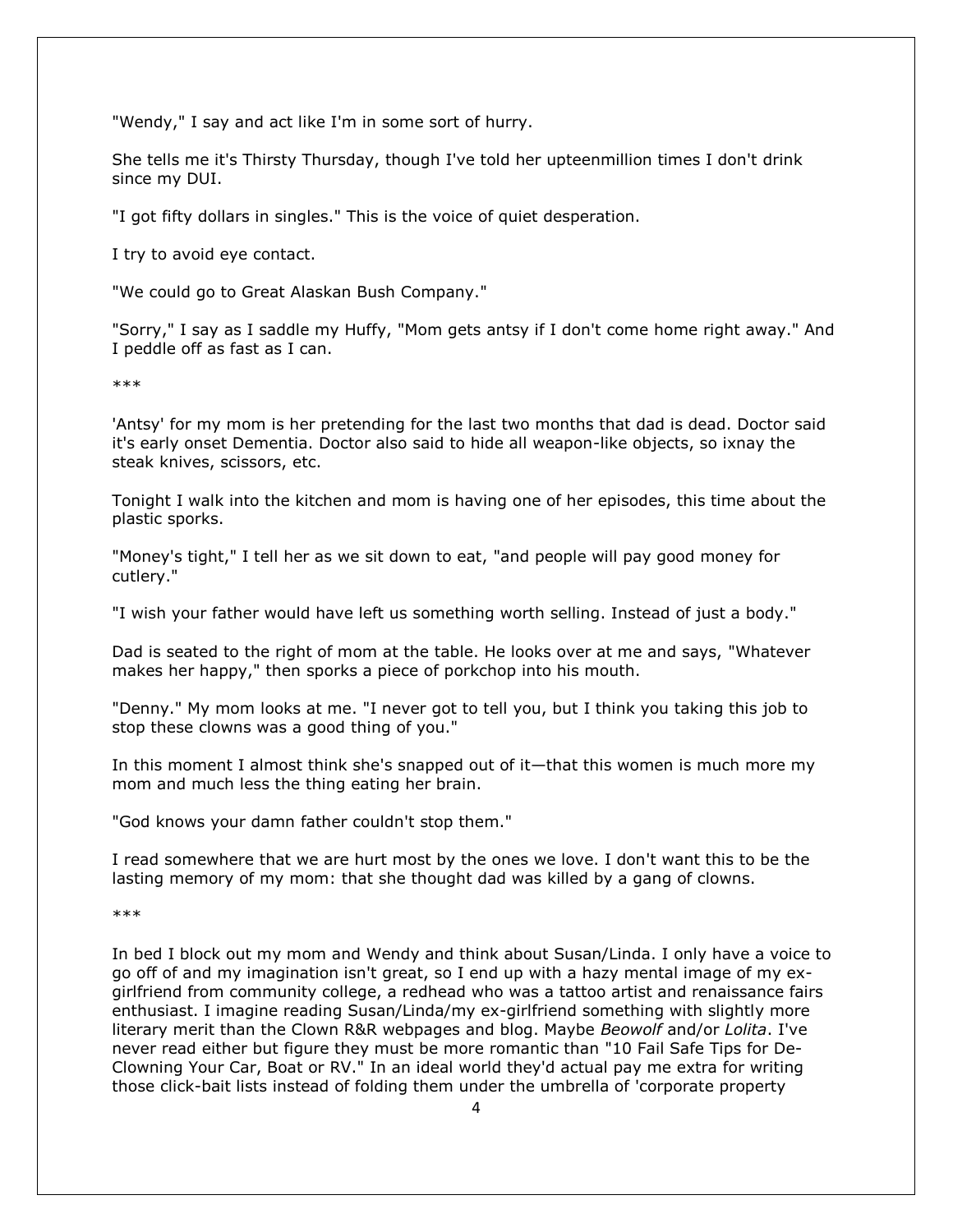"Wendy," I say and act like I'm in some sort of hurry.

She tells me it's Thirsty Thursday, though I've told her upteenmillion times I don't drink since my DUI.

"I got fifty dollars in singles." This is the voice of quiet desperation.

I try to avoid eye contact.

"We could go to Great Alaskan Bush Company."

"Sorry," I say as I saddle my Huffy, "Mom gets antsy if I don't come home right away." And I peddle off as fast as I can.

\*\*\*

'Antsy' for my mom is her pretending for the last two months that dad is dead. Doctor said it's early onset Dementia. Doctor also said to hide all weapon-like objects, so ixnay the steak knives, scissors, etc.

Tonight I walk into the kitchen and mom is having one of her episodes, this time about the plastic sporks.

"Money's tight," I tell her as we sit down to eat, "and people will pay good money for cutlery."

"I wish your father would have left us something worth selling. Instead of just a body."

Dad is seated to the right of mom at the table. He looks over at me and says, "Whatever makes her happy," then sporks a piece of porkchop into his mouth.

"Denny." My mom looks at me. "I never got to tell you, but I think you taking this job to stop these clowns was a good thing of you."

In this moment I almost think she's snapped out of it—that this women is much more my mom and much less the thing eating her brain.

"God knows your damn father couldn't stop them."

I read somewhere that we are hurt most by the ones we love. I don't want this to be the lasting memory of my mom: that she thought dad was killed by a gang of clowns.

\*\*\*

In bed I block out my mom and Wendy and think about Susan/Linda. I only have a voice to go off of and my imagination isn't great, so I end up with a hazy mental image of my exgirlfriend from community college, a redhead who was a tattoo artist and renaissance fairs enthusiast. I imagine reading Susan/Linda/my ex-girlfriend something with slightly more literary merit than the Clown R&R webpages and blog. Maybe *Beowolf* and/or *Lolita*. I've never read either but figure they must be more romantic than "10 Fail Safe Tips for De-Clowning Your Car, Boat or RV." In an ideal world they'd actual pay me extra for writing those click-bait lists instead of folding them under the umbrella of 'corporate property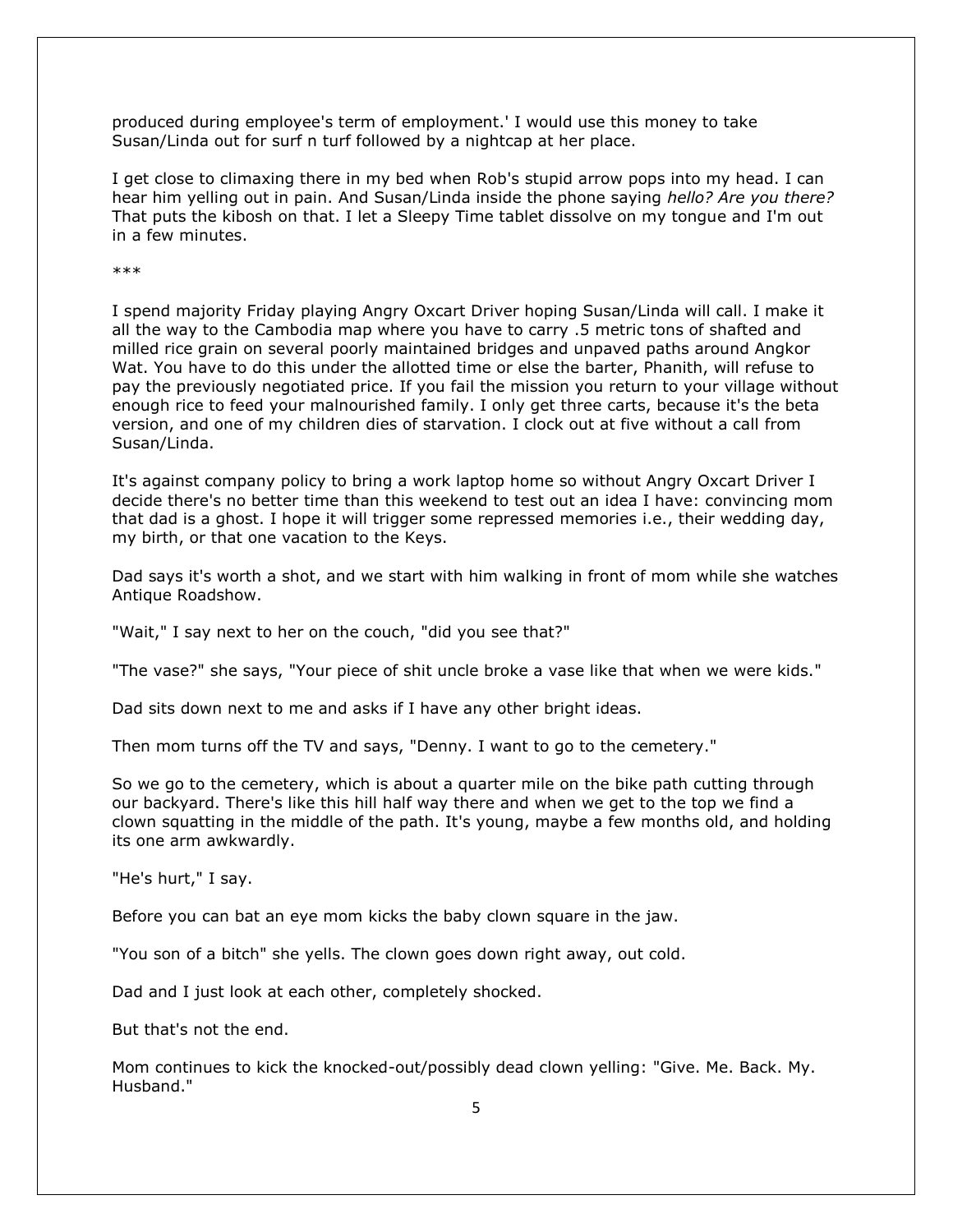produced during employee's term of employment.' I would use this money to take Susan/Linda out for surf n turf followed by a nightcap at her place.

I get close to climaxing there in my bed when Rob's stupid arrow pops into my head. I can hear him yelling out in pain. And Susan/Linda inside the phone saying *hello? Are you there?*  That puts the kibosh on that. I let a Sleepy Time tablet dissolve on my tongue and I'm out in a few minutes.

\*\*\*

I spend majority Friday playing Angry Oxcart Driver hoping Susan/Linda will call. I make it all the way to the Cambodia map where you have to carry .5 metric tons of shafted and milled rice grain on several poorly maintained bridges and unpaved paths around Angkor Wat. You have to do this under the allotted time or else the barter, Phanith, will refuse to pay the previously negotiated price. If you fail the mission you return to your village without enough rice to feed your malnourished family. I only get three carts, because it's the beta version, and one of my children dies of starvation. I clock out at five without a call from Susan/Linda.

It's against company policy to bring a work laptop home so without Angry Oxcart Driver I decide there's no better time than this weekend to test out an idea I have: convincing mom that dad is a ghost. I hope it will trigger some repressed memories i.e., their wedding day, my birth, or that one vacation to the Keys.

Dad says it's worth a shot, and we start with him walking in front of mom while she watches Antique Roadshow.

"Wait," I say next to her on the couch, "did you see that?"

"The vase?" she says, "Your piece of shit uncle broke a vase like that when we were kids."

Dad sits down next to me and asks if I have any other bright ideas.

Then mom turns off the TV and says, "Denny. I want to go to the cemetery."

So we go to the cemetery, which is about a quarter mile on the bike path cutting through our backyard. There's like this hill half way there and when we get to the top we find a clown squatting in the middle of the path. It's young, maybe a few months old, and holding its one arm awkwardly.

"He's hurt," I say.

Before you can bat an eye mom kicks the baby clown square in the jaw.

"You son of a bitch" she yells. The clown goes down right away, out cold.

Dad and I just look at each other, completely shocked.

But that's not the end.

Mom continues to kick the knocked-out/possibly dead clown yelling: "Give. Me. Back. My. Husband."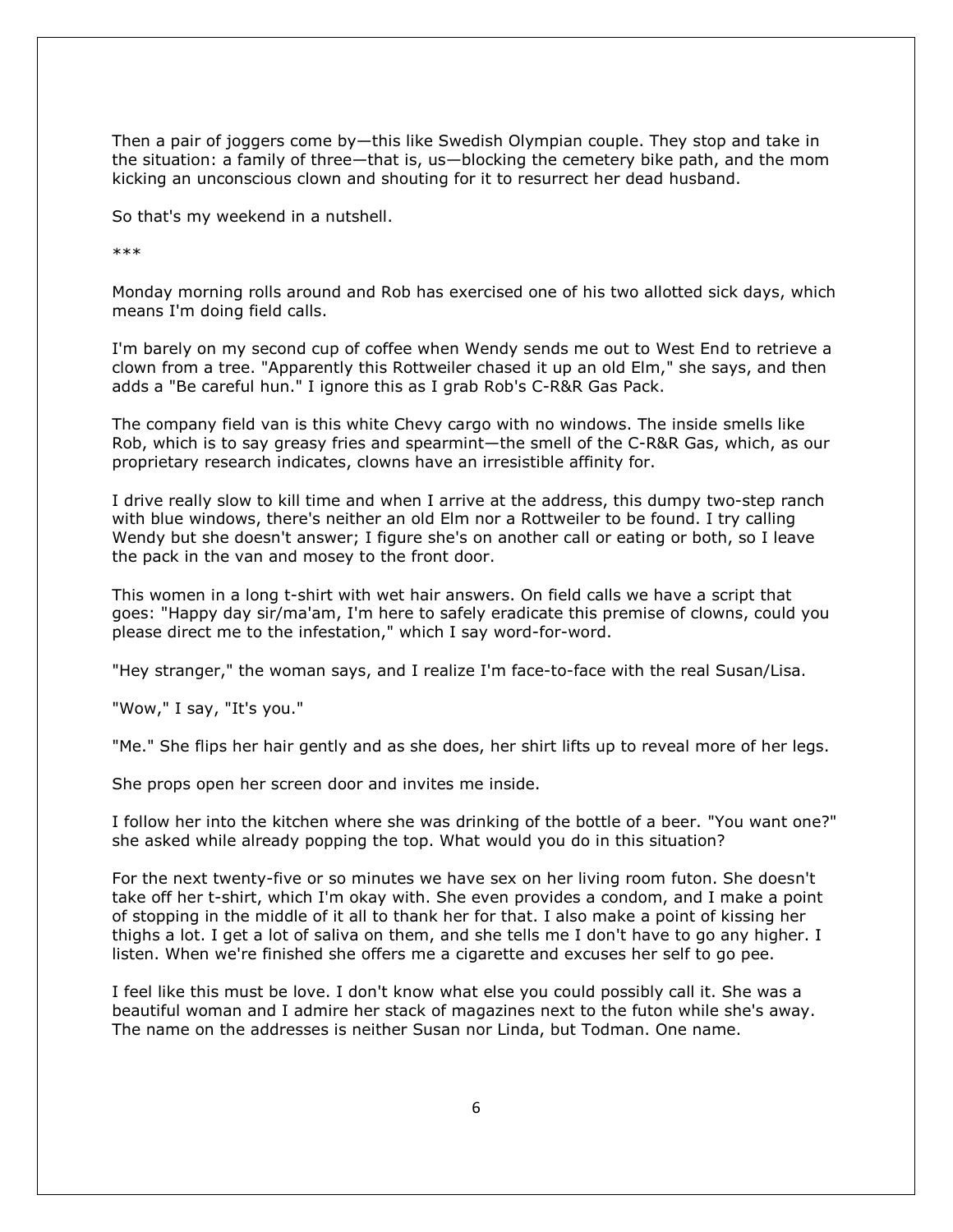Then a pair of joggers come by—this like Swedish Olympian couple. They stop and take in the situation: a family of three—that is, us—blocking the cemetery bike path, and the mom kicking an unconscious clown and shouting for it to resurrect her dead husband.

So that's my weekend in a nutshell.

\*\*\*

Monday morning rolls around and Rob has exercised one of his two allotted sick days, which means I'm doing field calls.

I'm barely on my second cup of coffee when Wendy sends me out to West End to retrieve a clown from a tree. "Apparently this Rottweiler chased it up an old Elm," she says, and then adds a "Be careful hun." I ignore this as I grab Rob's C-R&R Gas Pack.

The company field van is this white Chevy cargo with no windows. The inside smells like Rob, which is to say greasy fries and spearmint—the smell of the C-R&R Gas, which, as our proprietary research indicates, clowns have an irresistible affinity for.

I drive really slow to kill time and when I arrive at the address, this dumpy two-step ranch with blue windows, there's neither an old Elm nor a Rottweiler to be found. I try calling Wendy but she doesn't answer; I figure she's on another call or eating or both, so I leave the pack in the van and mosey to the front door.

This women in a long t-shirt with wet hair answers. On field calls we have a script that goes: "Happy day sir/ma'am, I'm here to safely eradicate this premise of clowns, could you please direct me to the infestation," which I say word-for-word.

"Hey stranger," the woman says, and I realize I'm face-to-face with the real Susan/Lisa.

"Wow," I say, "It's you."

"Me." She flips her hair gently and as she does, her shirt lifts up to reveal more of her legs.

She props open her screen door and invites me inside.

I follow her into the kitchen where she was drinking of the bottle of a beer. "You want one?" she asked while already popping the top. What would you do in this situation?

For the next twenty-five or so minutes we have sex on her living room futon. She doesn't take off her t-shirt, which I'm okay with. She even provides a condom, and I make a point of stopping in the middle of it all to thank her for that. I also make a point of kissing her thighs a lot. I get a lot of saliva on them, and she tells me I don't have to go any higher. I listen. When we're finished she offers me a cigarette and excuses her self to go pee.

I feel like this must be love. I don't know what else you could possibly call it. She was a beautiful woman and I admire her stack of magazines next to the futon while she's away. The name on the addresses is neither Susan nor Linda, but Todman. One name.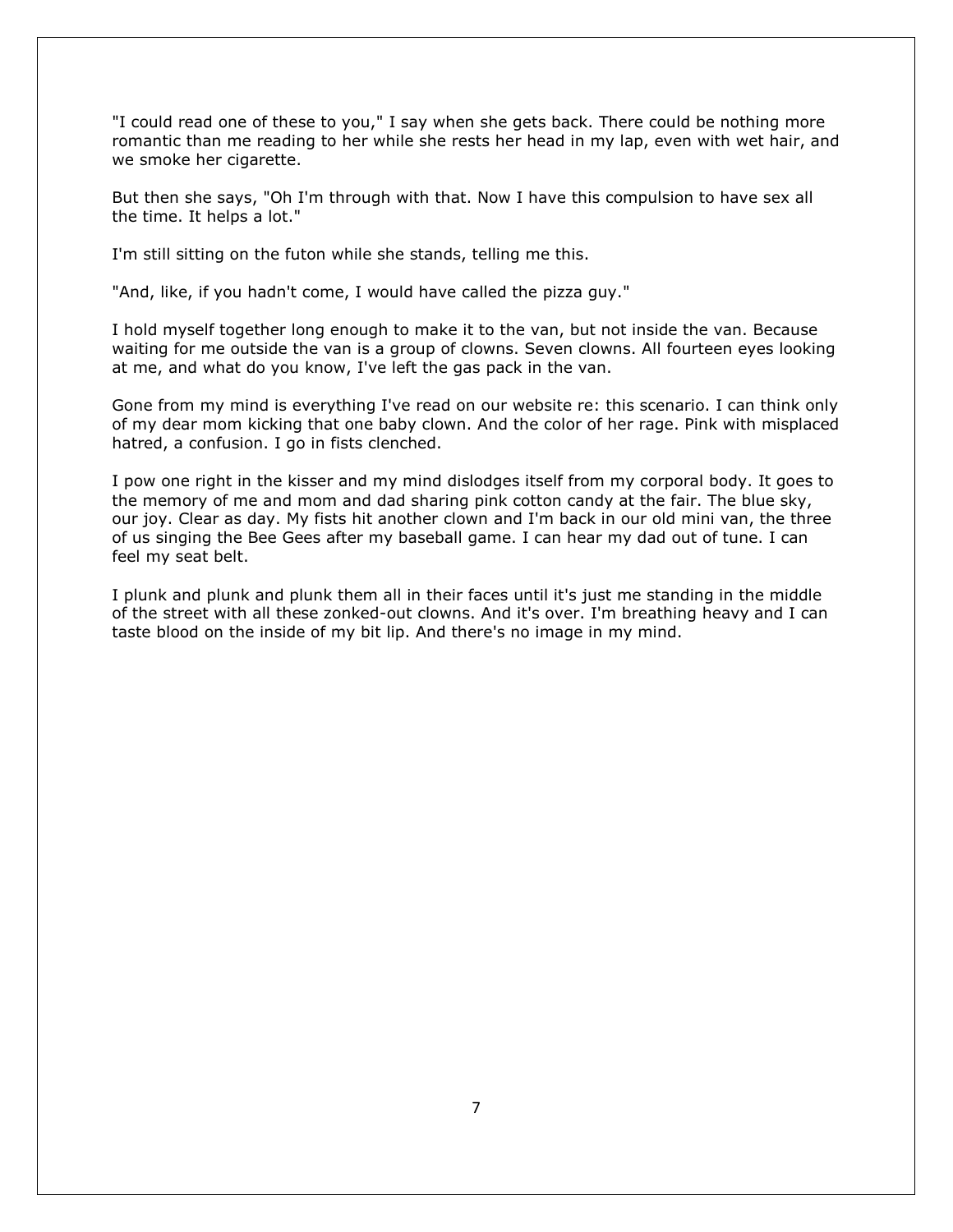"I could read one of these to you," I say when she gets back. There could be nothing more romantic than me reading to her while she rests her head in my lap, even with wet hair, and we smoke her cigarette.

But then she says, "Oh I'm through with that. Now I have this compulsion to have sex all the time. It helps a lot."

I'm still sitting on the futon while she stands, telling me this.

"And, like, if you hadn't come, I would have called the pizza guy."

I hold myself together long enough to make it to the van, but not inside the van. Because waiting for me outside the van is a group of clowns. Seven clowns. All fourteen eyes looking at me, and what do you know, I've left the gas pack in the van.

Gone from my mind is everything I've read on our website re: this scenario. I can think only of my dear mom kicking that one baby clown. And the color of her rage. Pink with misplaced hatred, a confusion. I go in fists clenched.

I pow one right in the kisser and my mind dislodges itself from my corporal body. It goes to the memory of me and mom and dad sharing pink cotton candy at the fair. The blue sky, our joy. Clear as day. My fists hit another clown and I'm back in our old mini van, the three of us singing the Bee Gees after my baseball game. I can hear my dad out of tune. I can feel my seat belt.

I plunk and plunk and plunk them all in their faces until it's just me standing in the middle of the street with all these zonked-out clowns. And it's over. I'm breathing heavy and I can taste blood on the inside of my bit lip. And there's no image in my mind.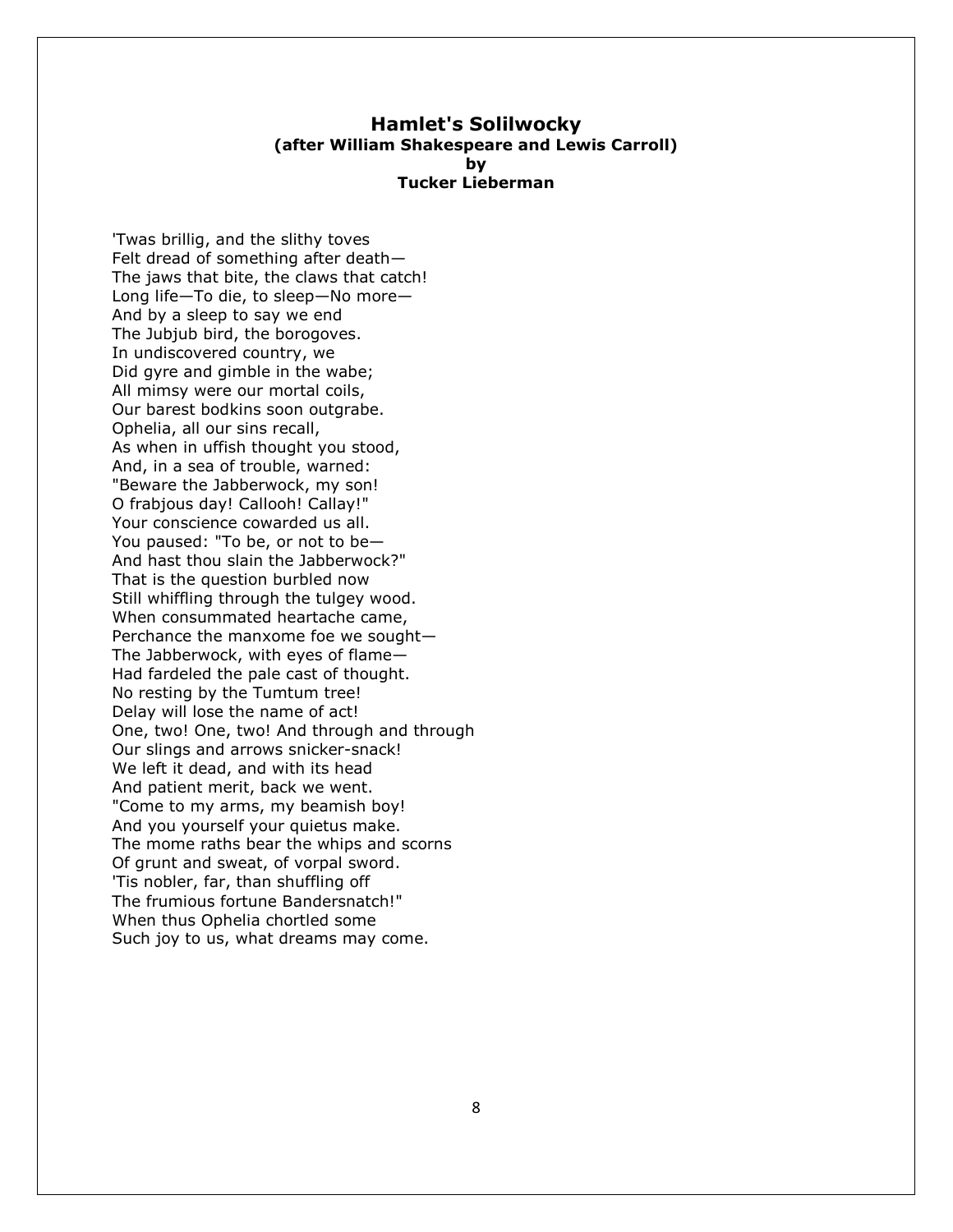#### **Hamlet's Solilwocky (after William Shakespeare and Lewis Carroll) by Tucker Lieberman**

'Twas brillig, and the slithy toves Felt dread of something after death— The jaws that bite, the claws that catch! Long life—To die, to sleep—No more— And by a sleep to say we end The Jubjub bird, the borogoves. In undiscovered country, we Did gyre and gimble in the wabe; All mimsy were our mortal coils, Our barest bodkins soon outgrabe. Ophelia, all our sins recall, As when in uffish thought you stood, And, in a sea of trouble, warned: "Beware the Jabberwock, my son! O frabjous day! Callooh! Callay!" Your conscience cowarded us all. You paused: "To be, or not to be— And hast thou slain the Jabberwock?" That is the question burbled now Still whiffling through the tulgey wood. When consummated heartache came, Perchance the manxome foe we sought— The Jabberwock, with eyes of flame— Had fardeled the pale cast of thought. No resting by the Tumtum tree! Delay will lose the name of act! One, two! One, two! And through and through Our slings and arrows snicker-snack! We left it dead, and with its head And patient merit, back we went. "Come to my arms, my beamish boy! And you yourself your quietus make. The mome raths bear the whips and scorns Of grunt and sweat, of vorpal sword. 'Tis nobler, far, than shuffling off The frumious fortune Bandersnatch!" When thus Ophelia chortled some Such joy to us, what dreams may come.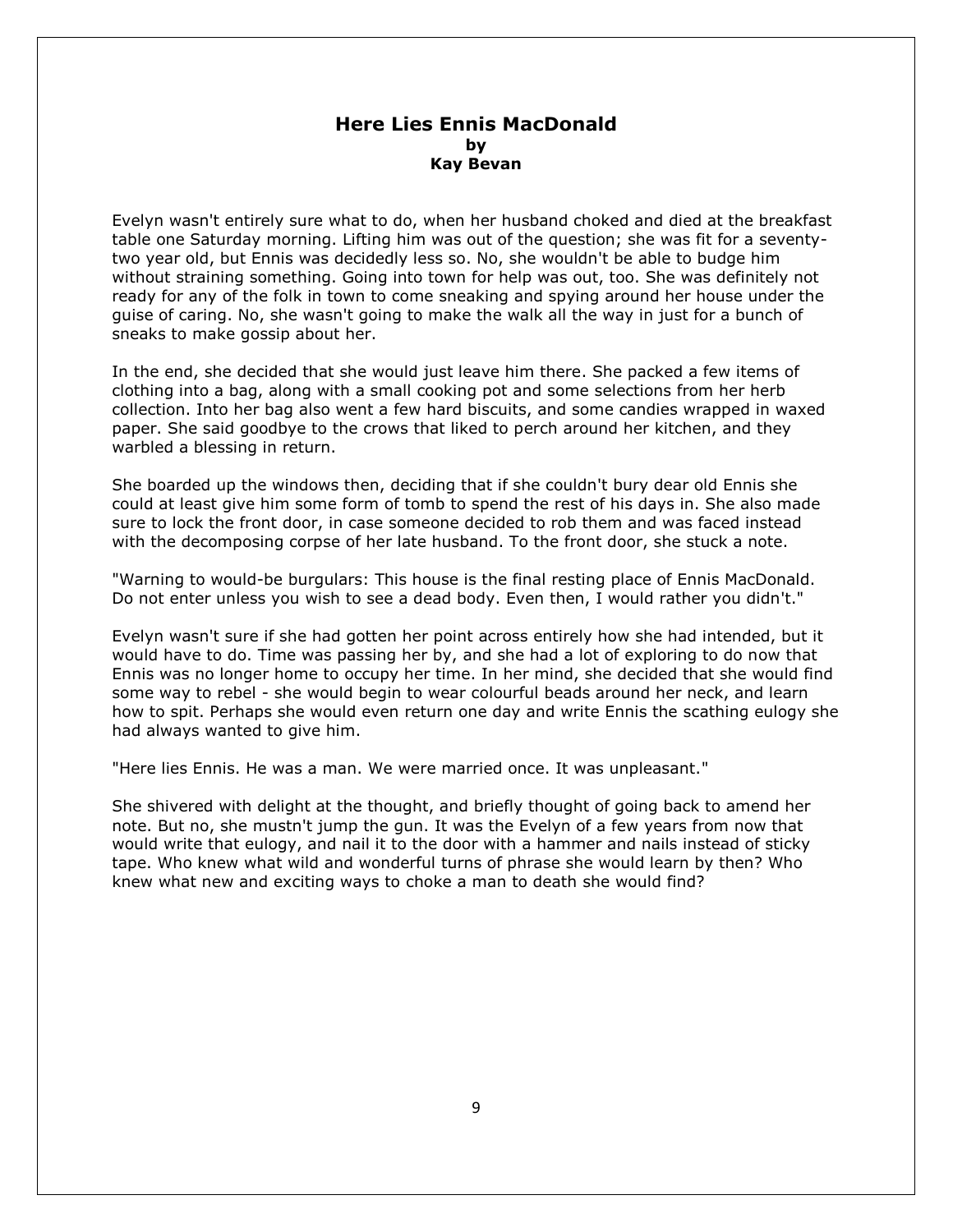# **Here Lies Ennis MacDonald by Kay Bevan**

Evelyn wasn't entirely sure what to do, when her husband choked and died at the breakfast table one Saturday morning. Lifting him was out of the question; she was fit for a seventytwo year old, but Ennis was decidedly less so. No, she wouldn't be able to budge him without straining something. Going into town for help was out, too. She was definitely not ready for any of the folk in town to come sneaking and spying around her house under the guise of caring. No, she wasn't going to make the walk all the way in just for a bunch of sneaks to make gossip about her.

In the end, she decided that she would just leave him there. She packed a few items of clothing into a bag, along with a small cooking pot and some selections from her herb collection. Into her bag also went a few hard biscuits, and some candies wrapped in waxed paper. She said goodbye to the crows that liked to perch around her kitchen, and they warbled a blessing in return.

She boarded up the windows then, deciding that if she couldn't bury dear old Ennis she could at least give him some form of tomb to spend the rest of his days in. She also made sure to lock the front door, in case someone decided to rob them and was faced instead with the decomposing corpse of her late husband. To the front door, she stuck a note.

"Warning to would-be burgulars: This house is the final resting place of Ennis MacDonald. Do not enter unless you wish to see a dead body. Even then, I would rather you didn't."

Evelyn wasn't sure if she had gotten her point across entirely how she had intended, but it would have to do. Time was passing her by, and she had a lot of exploring to do now that Ennis was no longer home to occupy her time. In her mind, she decided that she would find some way to rebel - she would begin to wear colourful beads around her neck, and learn how to spit. Perhaps she would even return one day and write Ennis the scathing eulogy she had always wanted to give him.

"Here lies Ennis. He was a man. We were married once. It was unpleasant."

She shivered with delight at the thought, and briefly thought of going back to amend her note. But no, she mustn't jump the gun. It was the Evelyn of a few years from now that would write that eulogy, and nail it to the door with a hammer and nails instead of sticky tape. Who knew what wild and wonderful turns of phrase she would learn by then? Who knew what new and exciting ways to choke a man to death she would find?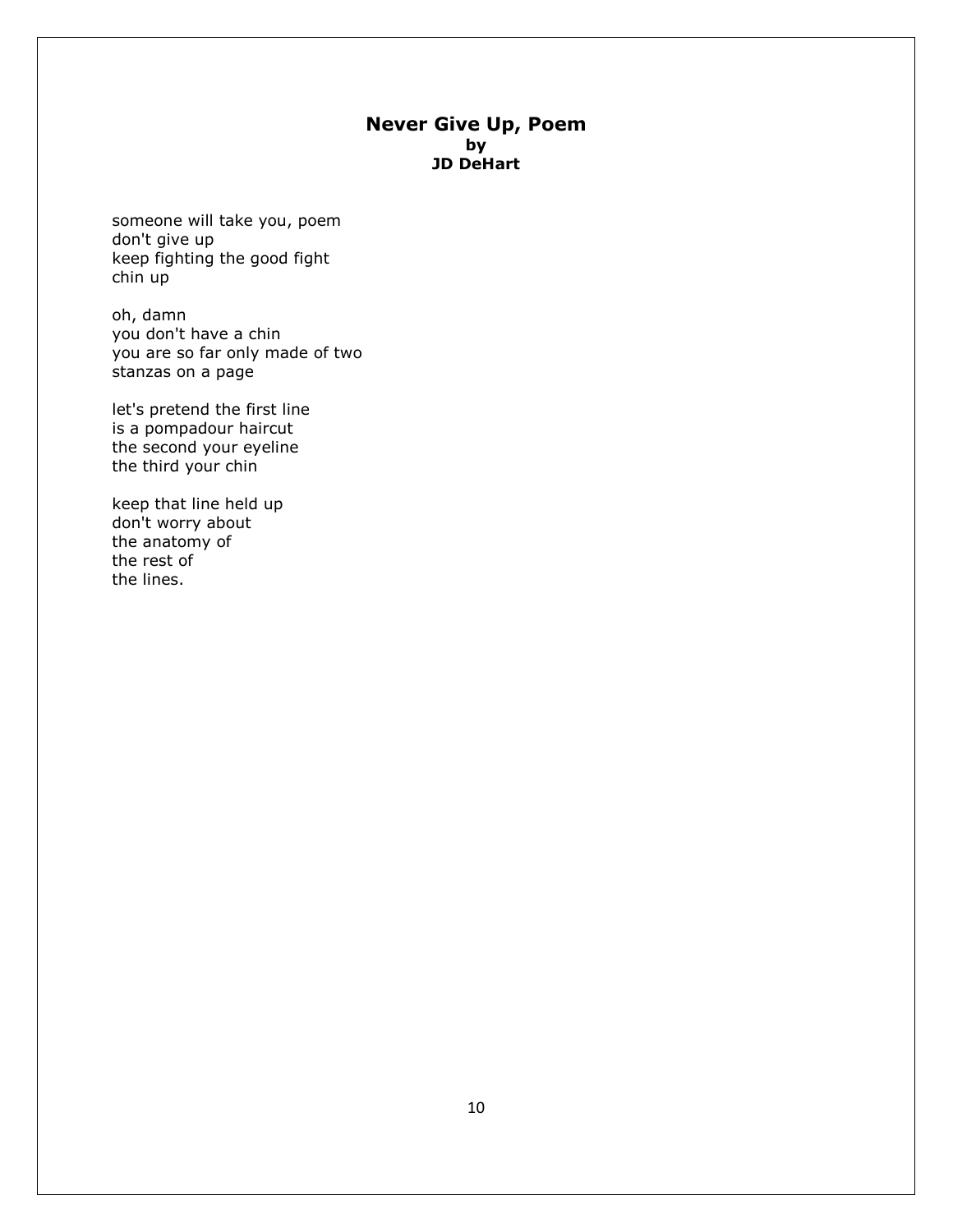# **Never Give Up, Poem by JD DeHart**

someone will take you, poem don't give up keep fighting the good fight chin up

oh, damn you don't have a chin you are so far only made of two stanzas on a page

let's pretend the first line is a pompadour haircut the second your eyeline the third your chin

keep that line held up don't worry about the anatomy of the rest of the lines.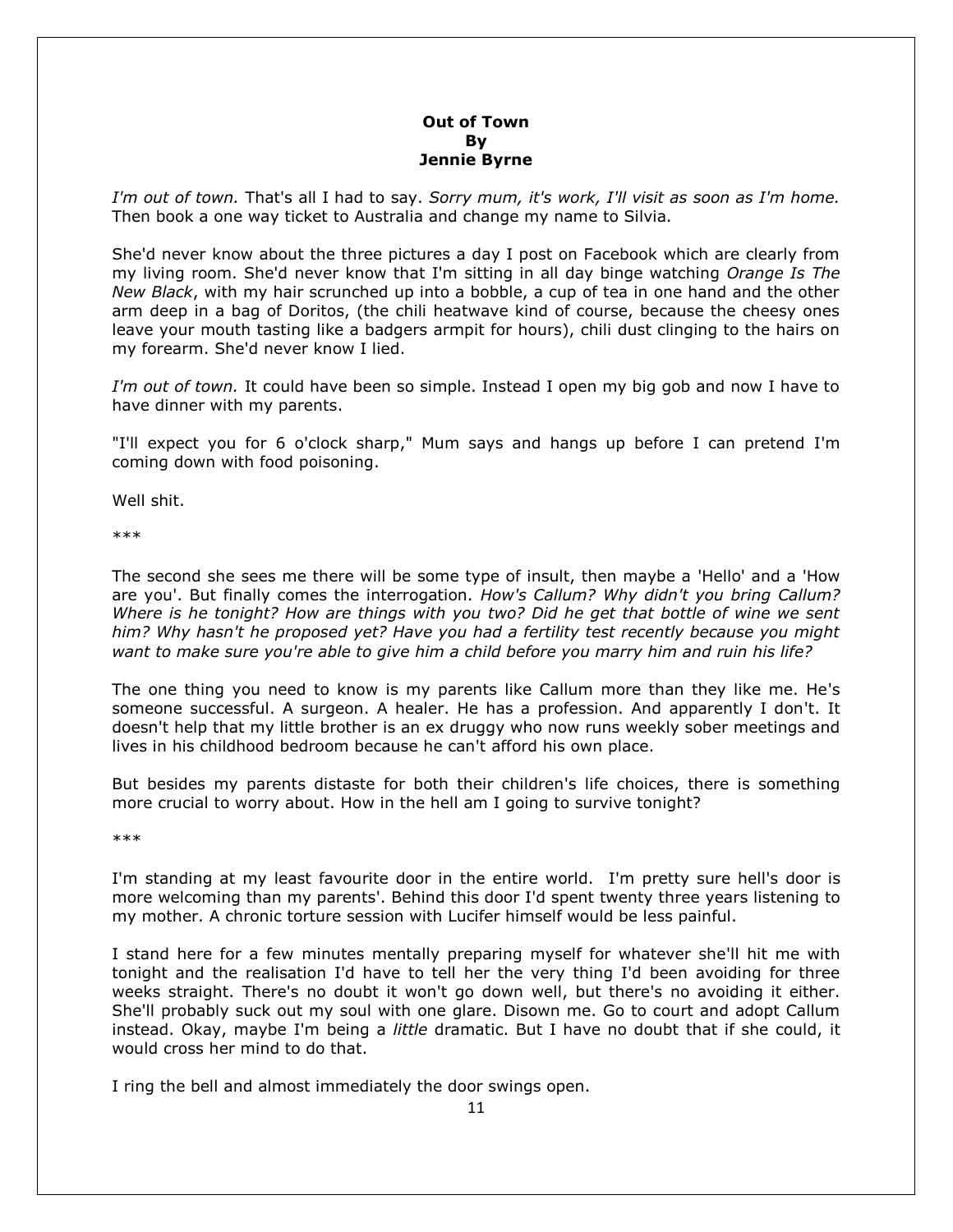# **Out of Town By Jennie Byrne**

*I'm out of town.* That's all I had to say. *Sorry mum, it's work, I'll visit as soon as I'm home.*  Then book a one way ticket to Australia and change my name to Silvia.

She'd never know about the three pictures a day I post on Facebook which are clearly from my living room. She'd never know that I'm sitting in all day binge watching *Orange Is The New Black*, with my hair scrunched up into a bobble, a cup of tea in one hand and the other arm deep in a bag of Doritos, (the chili heatwave kind of course, because the cheesy ones leave your mouth tasting like a badgers armpit for hours), chili dust clinging to the hairs on my forearm. She'd never know I lied.

*I'm out of town.* It could have been so simple. Instead I open my big gob and now I have to have dinner with my parents.

"I'll expect you for 6 o'clock sharp," Mum says and hangs up before I can pretend I'm coming down with food poisoning.

Well shit.

\*\*\*

The second she sees me there will be some type of insult, then maybe a 'Hello' and a 'How are you'. But finally comes the interrogation. *How's Callum? Why didn't you bring Callum? Where is he tonight? How are things with you two? Did he get that bottle of wine we sent him? Why hasn't he proposed yet? Have you had a fertility test recently because you might want to make sure you're able to give him a child before you marry him and ruin his life?*

The one thing you need to know is my parents like Callum more than they like me. He's someone successful. A surgeon. A healer. He has a profession. And apparently I don't. It doesn't help that my little brother is an ex druggy who now runs weekly sober meetings and lives in his childhood bedroom because he can't afford his own place.

But besides my parents distaste for both their children's life choices, there is something more crucial to worry about. How in the hell am I going to survive tonight?

\*\*\*

I'm standing at my least favourite door in the entire world. I'm pretty sure hell's door is more welcoming than my parents'. Behind this door I'd spent twenty three years listening to my mother. A chronic torture session with Lucifer himself would be less painful.

I stand here for a few minutes mentally preparing myself for whatever she'll hit me with tonight and the realisation I'd have to tell her the very thing I'd been avoiding for three weeks straight. There's no doubt it won't go down well, but there's no avoiding it either. She'll probably suck out my soul with one glare. Disown me. Go to court and adopt Callum instead. Okay, maybe I'm being a *little* dramatic. But I have no doubt that if she could, it would cross her mind to do that.

I ring the bell and almost immediately the door swings open.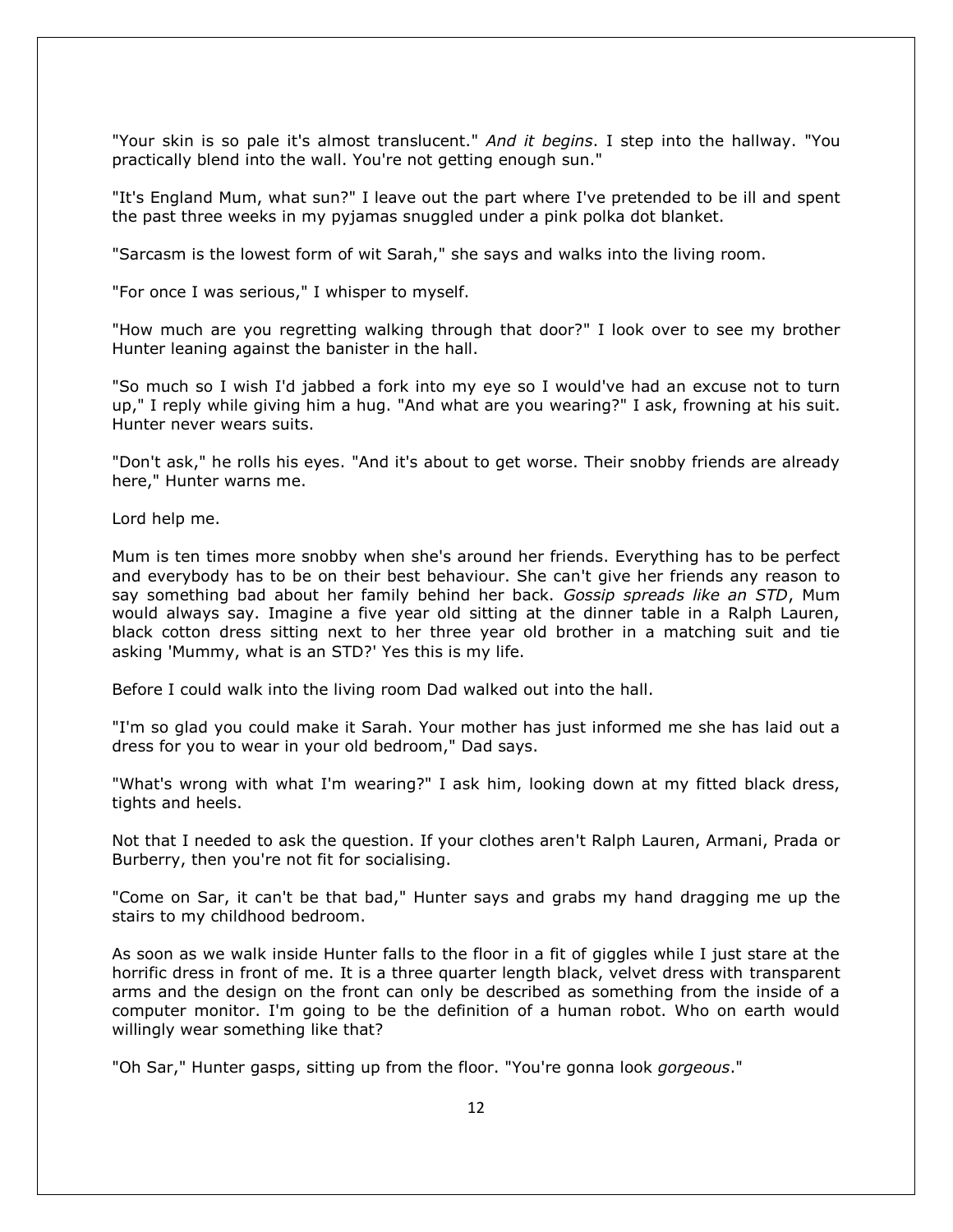"Your skin is so pale it's almost translucent." *And it begins*. I step into the hallway. "You practically blend into the wall. You're not getting enough sun."

"It's England Mum, what sun?" I leave out the part where I've pretended to be ill and spent the past three weeks in my pyjamas snuggled under a pink polka dot blanket.

"Sarcasm is the lowest form of wit Sarah," she says and walks into the living room.

"For once I was serious," I whisper to myself.

"How much are you regretting walking through that door?" I look over to see my brother Hunter leaning against the banister in the hall.

"So much so I wish I'd jabbed a fork into my eye so I would've had an excuse not to turn up," I reply while giving him a hug. "And what are you wearing?" I ask, frowning at his suit. Hunter never wears suits.

"Don't ask," he rolls his eyes. "And it's about to get worse. Their snobby friends are already here," Hunter warns me.

Lord help me.

Mum is ten times more snobby when she's around her friends. Everything has to be perfect and everybody has to be on their best behaviour. She can't give her friends any reason to say something bad about her family behind her back. *Gossip spreads like an STD*, Mum would always say. Imagine a five year old sitting at the dinner table in a Ralph Lauren, black cotton dress sitting next to her three year old brother in a matching suit and tie asking 'Mummy, what is an STD?' Yes this is my life.

Before I could walk into the living room Dad walked out into the hall.

"I'm so glad you could make it Sarah. Your mother has just informed me she has laid out a dress for you to wear in your old bedroom," Dad says.

"What's wrong with what I'm wearing?" I ask him, looking down at my fitted black dress, tights and heels.

Not that I needed to ask the question. If your clothes aren't Ralph Lauren, Armani, Prada or Burberry, then you're not fit for socialising.

"Come on Sar, it can't be that bad," Hunter says and grabs my hand dragging me up the stairs to my childhood bedroom.

As soon as we walk inside Hunter falls to the floor in a fit of giggles while I just stare at the horrific dress in front of me. It is a three quarter length black, velvet dress with transparent arms and the design on the front can only be described as something from the inside of a computer monitor. I'm going to be the definition of a human robot. Who on earth would willingly wear something like that?

"Oh Sar," Hunter gasps, sitting up from the floor. "You're gonna look *gorgeous*."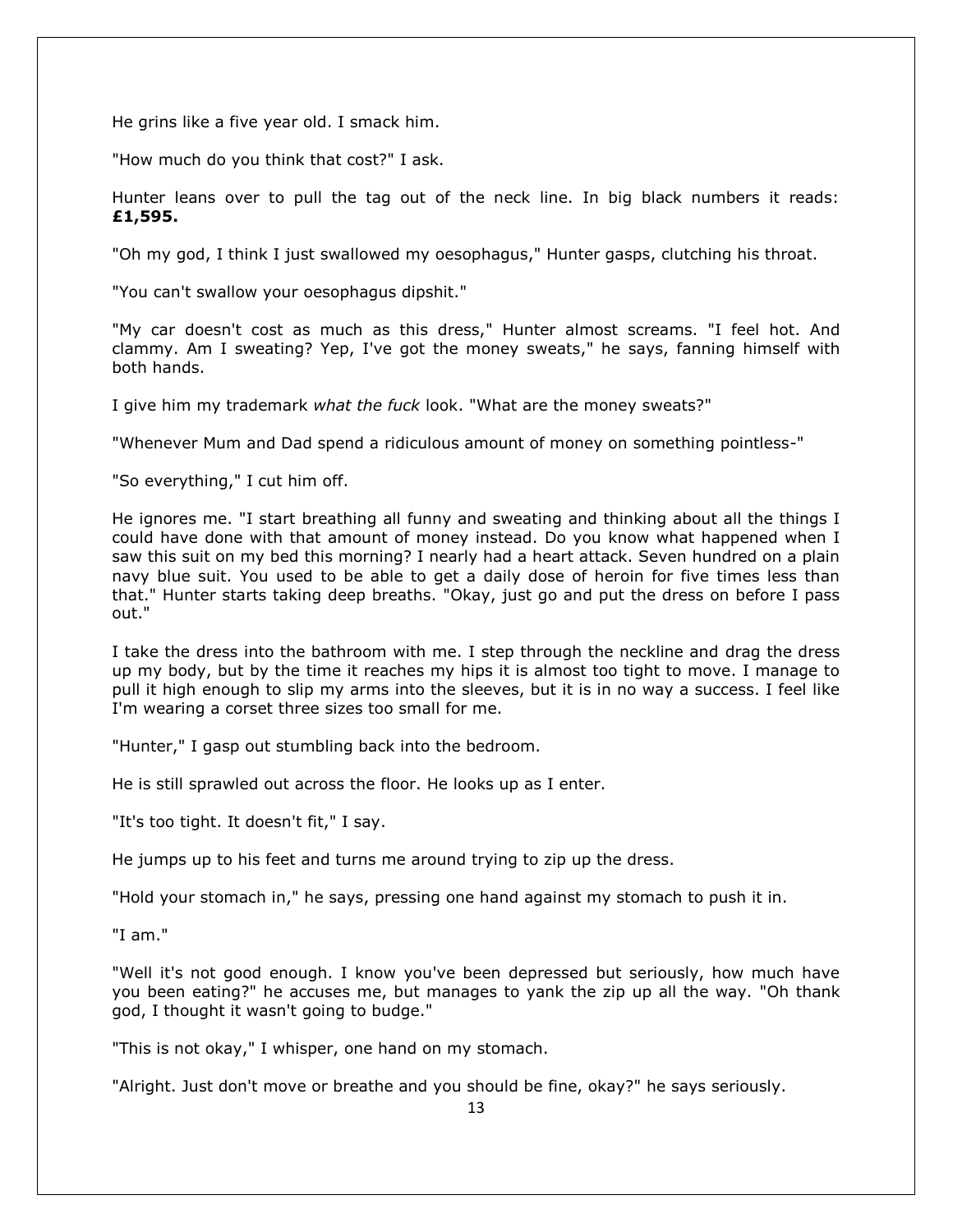He grins like a five year old. I smack him.

"How much do you think that cost?" I ask.

Hunter leans over to pull the tag out of the neck line. In big black numbers it reads: **£1,595.**

"Oh my god, I think I just swallowed my oesophagus," Hunter gasps, clutching his throat.

"You can't swallow your oesophagus dipshit."

"My car doesn't cost as much as this dress," Hunter almost screams. "I feel hot. And clammy. Am I sweating? Yep, I've got the money sweats," he says, fanning himself with both hands.

I give him my trademark *what the fuck* look. "What are the money sweats?"

"Whenever Mum and Dad spend a ridiculous amount of money on something pointless-"

"So everything," I cut him off.

He ignores me. "I start breathing all funny and sweating and thinking about all the things I could have done with that amount of money instead. Do you know what happened when I saw this suit on my bed this morning? I nearly had a heart attack. Seven hundred on a plain navy blue suit. You used to be able to get a daily dose of heroin for five times less than that." Hunter starts taking deep breaths. "Okay, just go and put the dress on before I pass out."

I take the dress into the bathroom with me. I step through the neckline and drag the dress up my body, but by the time it reaches my hips it is almost too tight to move. I manage to pull it high enough to slip my arms into the sleeves, but it is in no way a success. I feel like I'm wearing a corset three sizes too small for me.

"Hunter," I gasp out stumbling back into the bedroom.

He is still sprawled out across the floor. He looks up as I enter.

"It's too tight. It doesn't fit," I say.

He jumps up to his feet and turns me around trying to zip up the dress.

"Hold your stomach in," he says, pressing one hand against my stomach to push it in.

"I am."

"Well it's not good enough. I know you've been depressed but seriously, how much have you been eating?" he accuses me, but manages to yank the zip up all the way. "Oh thank god, I thought it wasn't going to budge."

"This is not okay," I whisper, one hand on my stomach.

"Alright. Just don't move or breathe and you should be fine, okay?" he says seriously.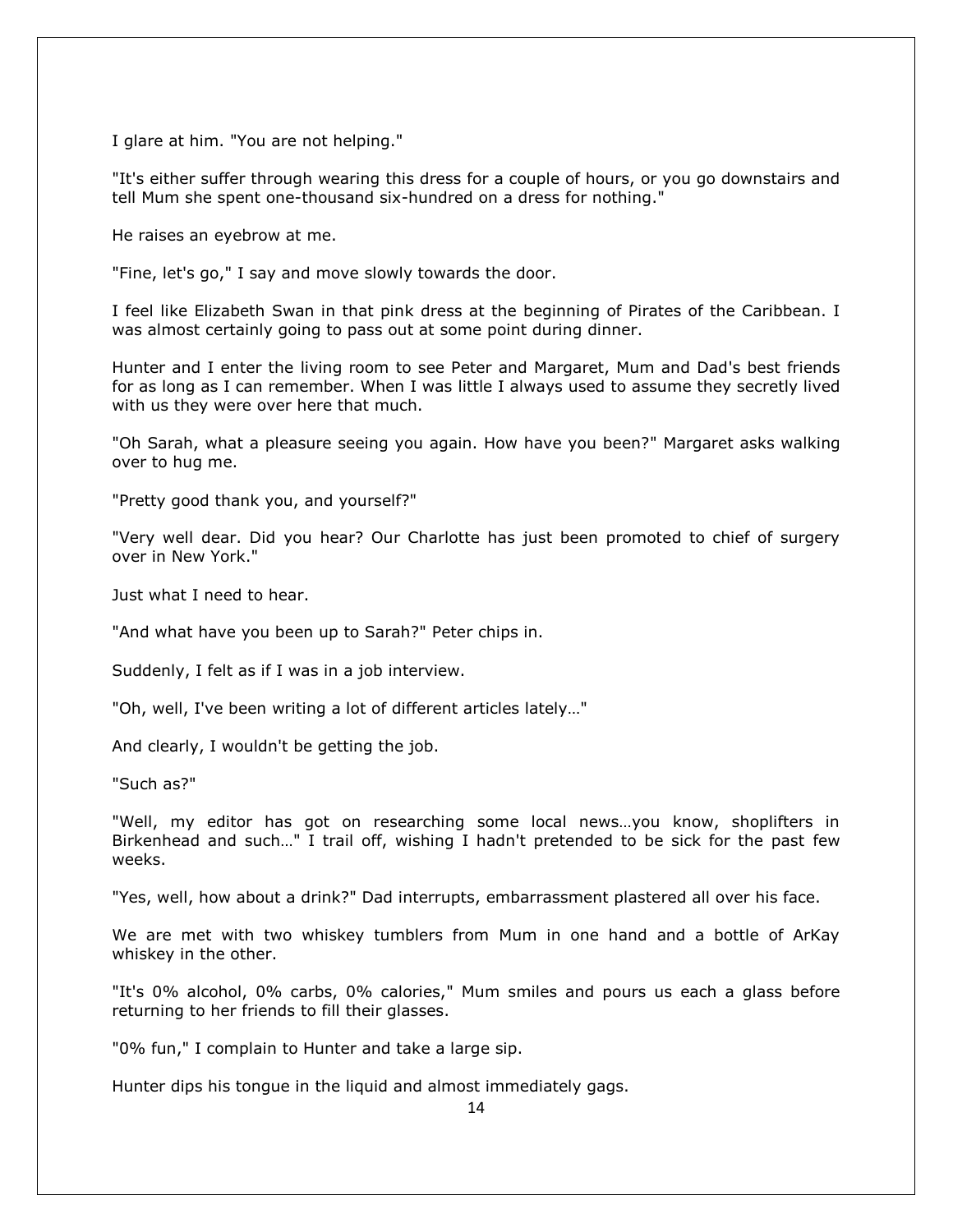I glare at him. "You are not helping."

"It's either suffer through wearing this dress for a couple of hours, or you go downstairs and tell Mum she spent one-thousand six-hundred on a dress for nothing."

He raises an eyebrow at me.

"Fine, let's go," I say and move slowly towards the door.

I feel like Elizabeth Swan in that pink dress at the beginning of Pirates of the Caribbean. I was almost certainly going to pass out at some point during dinner.

Hunter and I enter the living room to see Peter and Margaret, Mum and Dad's best friends for as long as I can remember. When I was little I always used to assume they secretly lived with us they were over here that much.

"Oh Sarah, what a pleasure seeing you again. How have you been?" Margaret asks walking over to hug me.

"Pretty good thank you, and yourself?"

"Very well dear. Did you hear? Our Charlotte has just been promoted to chief of surgery over in New York."

Just what I need to hear.

"And what have you been up to Sarah?" Peter chips in.

Suddenly, I felt as if I was in a job interview.

"Oh, well, I've been writing a lot of different articles lately…"

And clearly, I wouldn't be getting the job.

"Such as?"

"Well, my editor has got on researching some local news…you know, shoplifters in Birkenhead and such…" I trail off, wishing I hadn't pretended to be sick for the past few weeks.

"Yes, well, how about a drink?" Dad interrupts, embarrassment plastered all over his face.

We are met with two whiskey tumblers from Mum in one hand and a bottle of ArKay whiskey in the other.

"It's 0% alcohol, 0% carbs, 0% calories," Mum smiles and pours us each a glass before returning to her friends to fill their glasses.

"0% fun," I complain to Hunter and take a large sip.

Hunter dips his tongue in the liquid and almost immediately gags.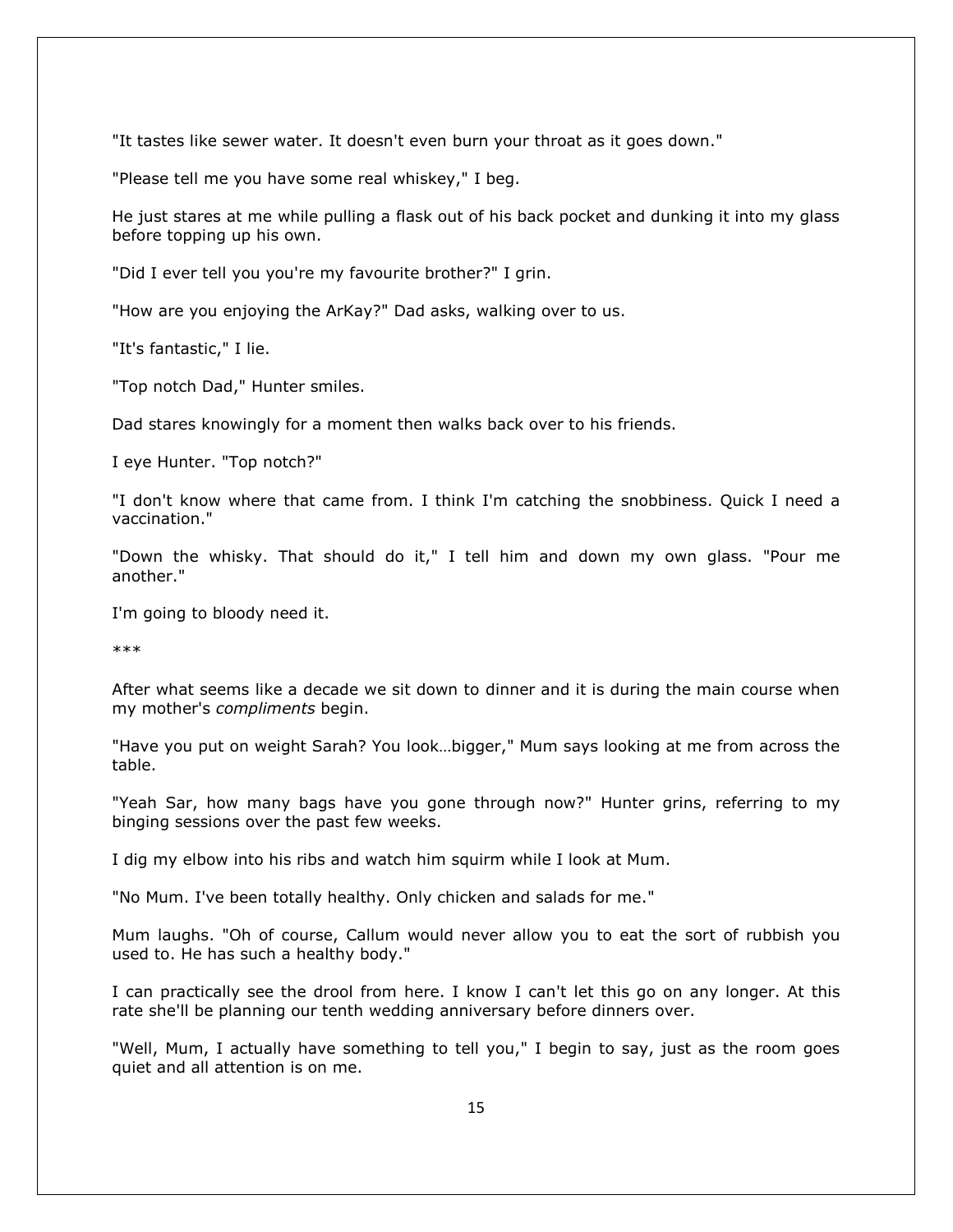"It tastes like sewer water. It doesn't even burn your throat as it goes down."

"Please tell me you have some real whiskey," I beg.

He just stares at me while pulling a flask out of his back pocket and dunking it into my glass before topping up his own.

"Did I ever tell you you're my favourite brother?" I grin.

"How are you enjoying the ArKay?" Dad asks, walking over to us.

"It's fantastic," I lie.

"Top notch Dad," Hunter smiles.

Dad stares knowingly for a moment then walks back over to his friends.

I eye Hunter. "Top notch?"

"I don't know where that came from. I think I'm catching the snobbiness. Quick I need a vaccination."

"Down the whisky. That should do it," I tell him and down my own glass. "Pour me another."

I'm going to bloody need it.

\*\*\*

After what seems like a decade we sit down to dinner and it is during the main course when my mother's *compliments* begin.

"Have you put on weight Sarah? You look…bigger," Mum says looking at me from across the table.

"Yeah Sar, how many bags have you gone through now?" Hunter grins, referring to my binging sessions over the past few weeks.

I dig my elbow into his ribs and watch him squirm while I look at Mum.

"No Mum. I've been totally healthy. Only chicken and salads for me."

Mum laughs. "Oh of course, Callum would never allow you to eat the sort of rubbish you used to. He has such a healthy body."

I can practically see the drool from here. I know I can't let this go on any longer. At this rate she'll be planning our tenth wedding anniversary before dinners over.

"Well, Mum, I actually have something to tell you," I begin to say, just as the room goes quiet and all attention is on me.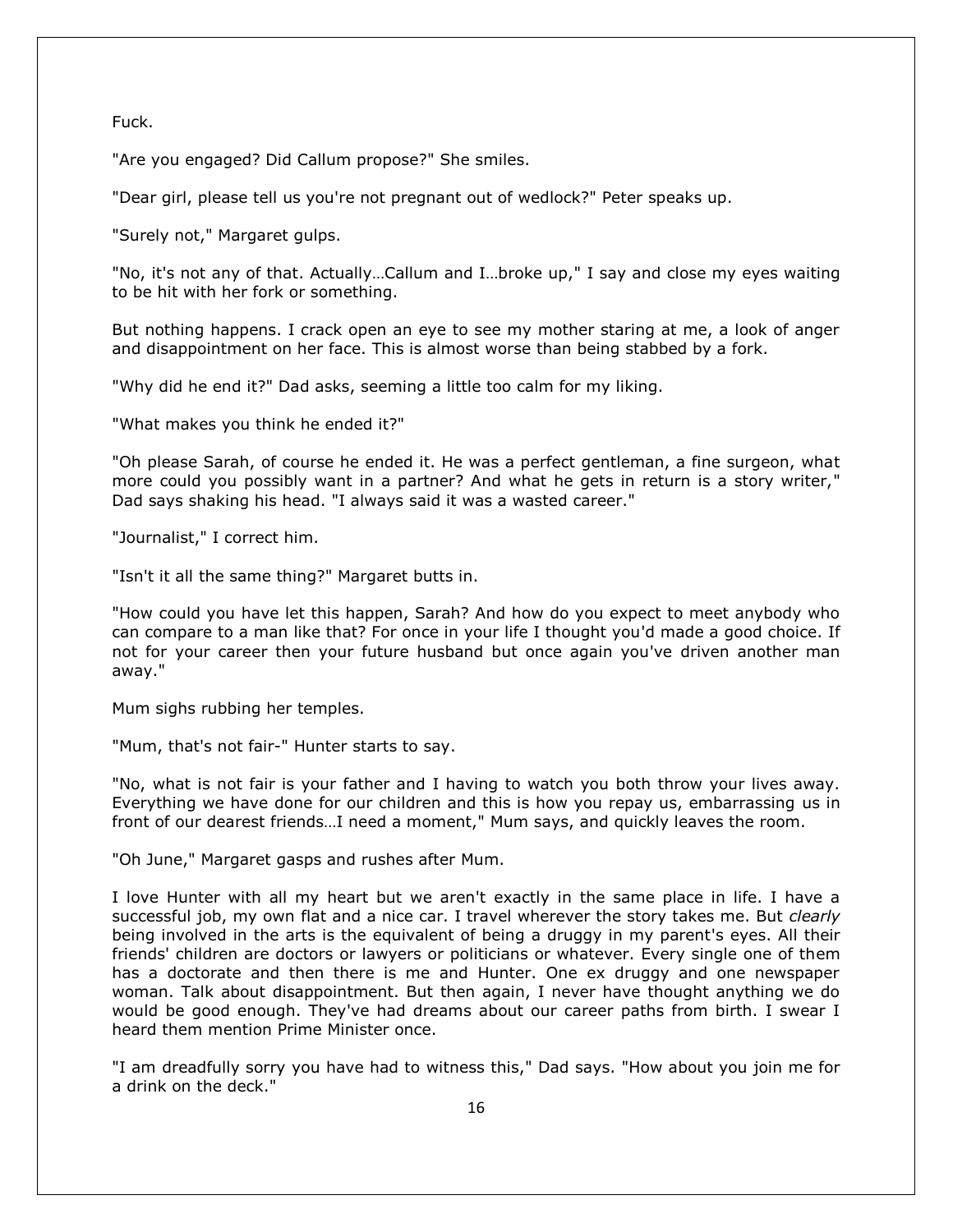Fuck.

"Are you engaged? Did Callum propose?" She smiles.

"Dear girl, please tell us you're not pregnant out of wedlock?" Peter speaks up.

"Surely not," Margaret gulps.

"No, it's not any of that. Actually…Callum and I…broke up," I say and close my eyes waiting to be hit with her fork or something.

But nothing happens. I crack open an eye to see my mother staring at me, a look of anger and disappointment on her face. This is almost worse than being stabbed by a fork.

"Why did he end it?" Dad asks, seeming a little too calm for my liking.

"What makes you think he ended it?"

"Oh please Sarah, of course he ended it. He was a perfect gentleman, a fine surgeon, what more could you possibly want in a partner? And what he gets in return is a story writer," Dad says shaking his head. "I always said it was a wasted career."

"Journalist," I correct him.

"Isn't it all the same thing?" Margaret butts in.

"How could you have let this happen, Sarah? And how do you expect to meet anybody who can compare to a man like that? For once in your life I thought you'd made a good choice. If not for your career then your future husband but once again you've driven another man away."

Mum sighs rubbing her temples.

"Mum, that's not fair-" Hunter starts to say.

"No, what is not fair is your father and I having to watch you both throw your lives away. Everything we have done for our children and this is how you repay us, embarrassing us in front of our dearest friends…I need a moment," Mum says, and quickly leaves the room.

"Oh June," Margaret gasps and rushes after Mum.

I love Hunter with all my heart but we aren't exactly in the same place in life. I have a successful job, my own flat and a nice car. I travel wherever the story takes me. But *clearly*  being involved in the arts is the equivalent of being a druggy in my parent's eyes. All their friends' children are doctors or lawyers or politicians or whatever. Every single one of them has a doctorate and then there is me and Hunter. One ex druggy and one newspaper woman. Talk about disappointment. But then again, I never have thought anything we do would be good enough. They've had dreams about our career paths from birth. I swear I heard them mention Prime Minister once.

"I am dreadfully sorry you have had to witness this," Dad says. "How about you join me for a drink on the deck."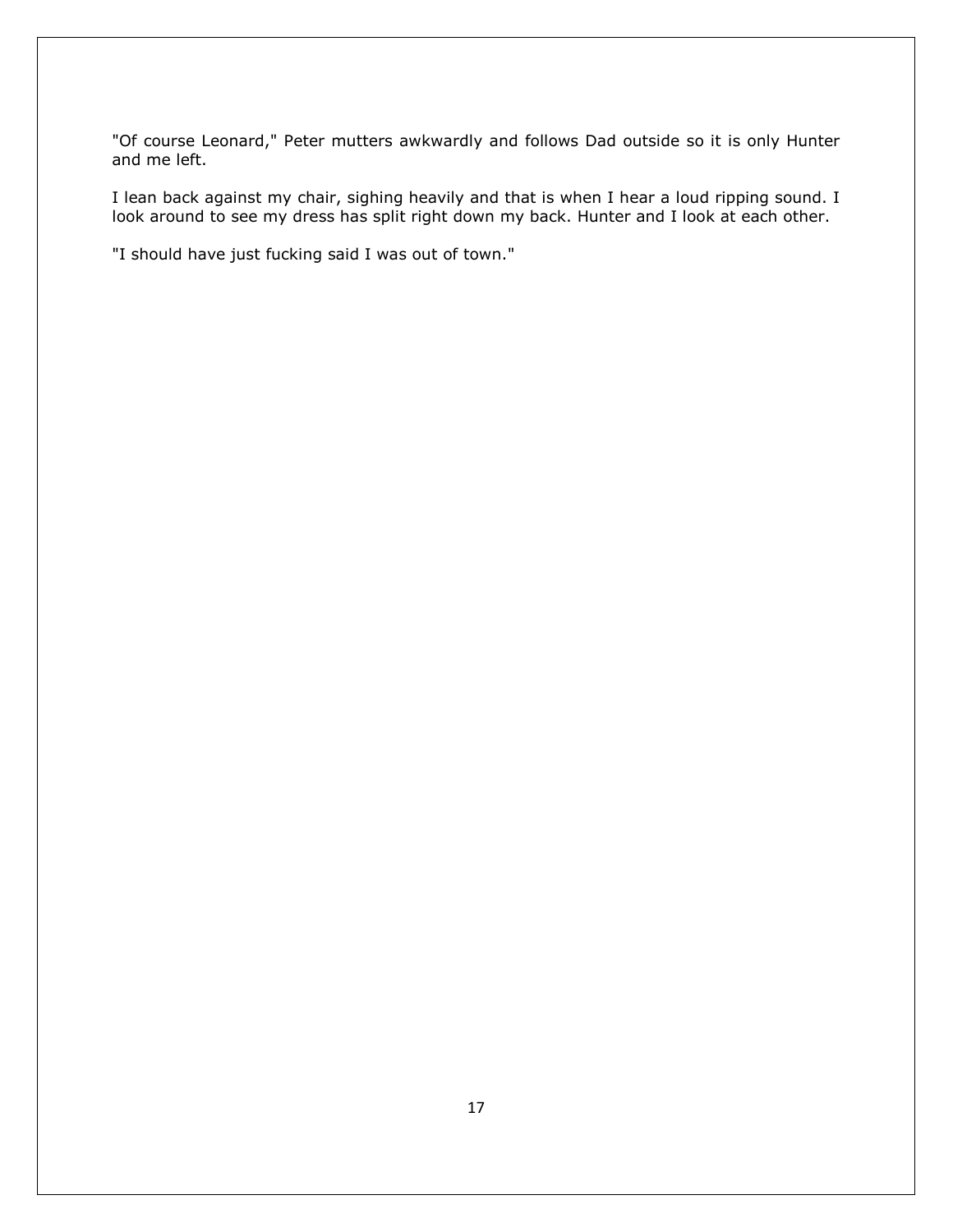"Of course Leonard," Peter mutters awkwardly and follows Dad outside so it is only Hunter and me left.

I lean back against my chair, sighing heavily and that is when I hear a loud ripping sound. I look around to see my dress has split right down my back. Hunter and I look at each other.

"I should have just fucking said I was out of town."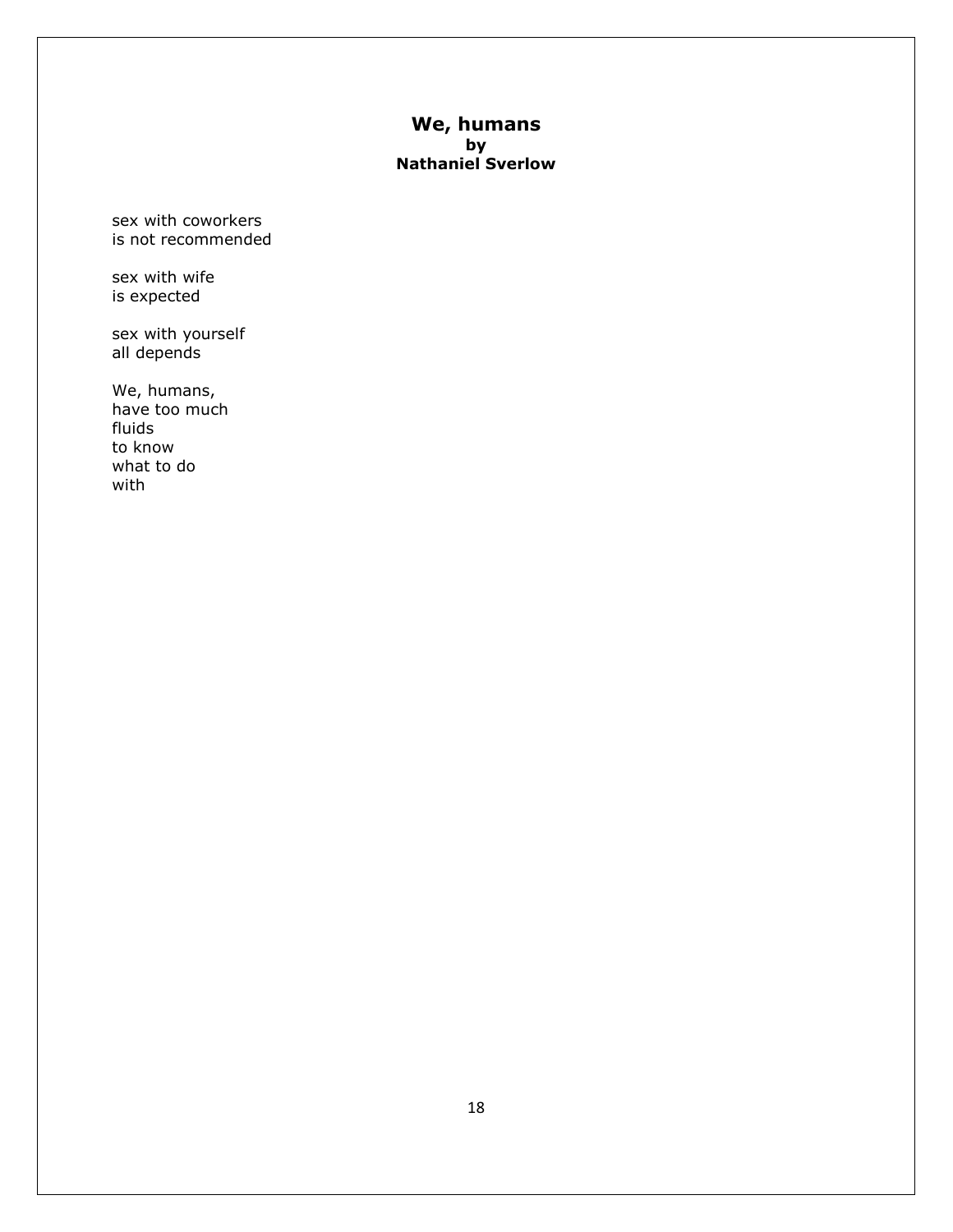# **We, humans by Nathaniel Sverlow**

sex with coworkers is not recommended

sex with wife is expected

sex with yourself all depends

We, humans, have too much fluids to know what to do with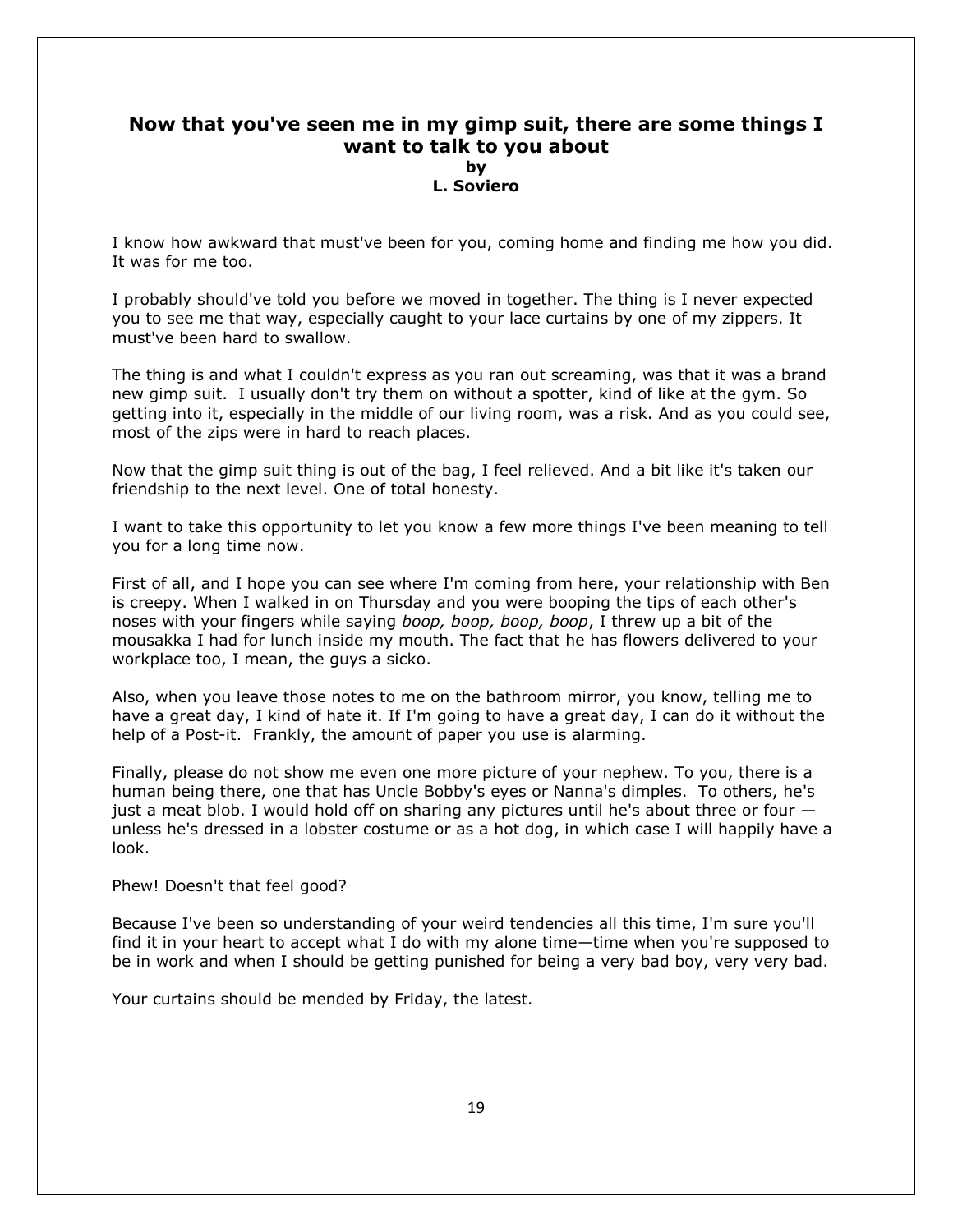# **Now that you've seen me in my gimp suit, there are some things I want to talk to you about by L. Soviero**

I know how awkward that must've been for you, coming home and finding me how you did. It was for me too.

I probably should've told you before we moved in together. The thing is I never expected you to see me that way, especially caught to your lace curtains by one of my zippers. It must've been hard to swallow.

The thing is and what I couldn't express as you ran out screaming, was that it was a brand new gimp suit. I usually don't try them on without a spotter, kind of like at the gym. So getting into it, especially in the middle of our living room, was a risk. And as you could see, most of the zips were in hard to reach places.

Now that the gimp suit thing is out of the bag, I feel relieved. And a bit like it's taken our friendship to the next level. One of total honesty.

I want to take this opportunity to let you know a few more things I've been meaning to tell you for a long time now.

First of all, and I hope you can see where I'm coming from here, your relationship with Ben is creepy. When I walked in on Thursday and you were booping the tips of each other's noses with your fingers while saying *boop, boop, boop, boop*, I threw up a bit of the mousakka I had for lunch inside my mouth. The fact that he has flowers delivered to your workplace too, I mean, the guys a sicko.

Also, when you leave those notes to me on the bathroom mirror, you know, telling me to have a great day, I kind of hate it. If I'm going to have a great day, I can do it without the help of a Post-it. Frankly, the amount of paper you use is alarming.

Finally, please do not show me even one more picture of your nephew. To you, there is a human being there, one that has Uncle Bobby's eyes or Nanna's dimples. To others, he's just a meat blob. I would hold off on sharing any pictures until he's about three or four unless he's dressed in a lobster costume or as a hot dog, in which case I will happily have a look.

#### Phew! Doesn't that feel good?

Because I've been so understanding of your weird tendencies all this time, I'm sure you'll find it in your heart to accept what I do with my alone time—time when you're supposed to be in work and when I should be getting punished for being a very bad boy, very very bad.

Your curtains should be mended by Friday, the latest.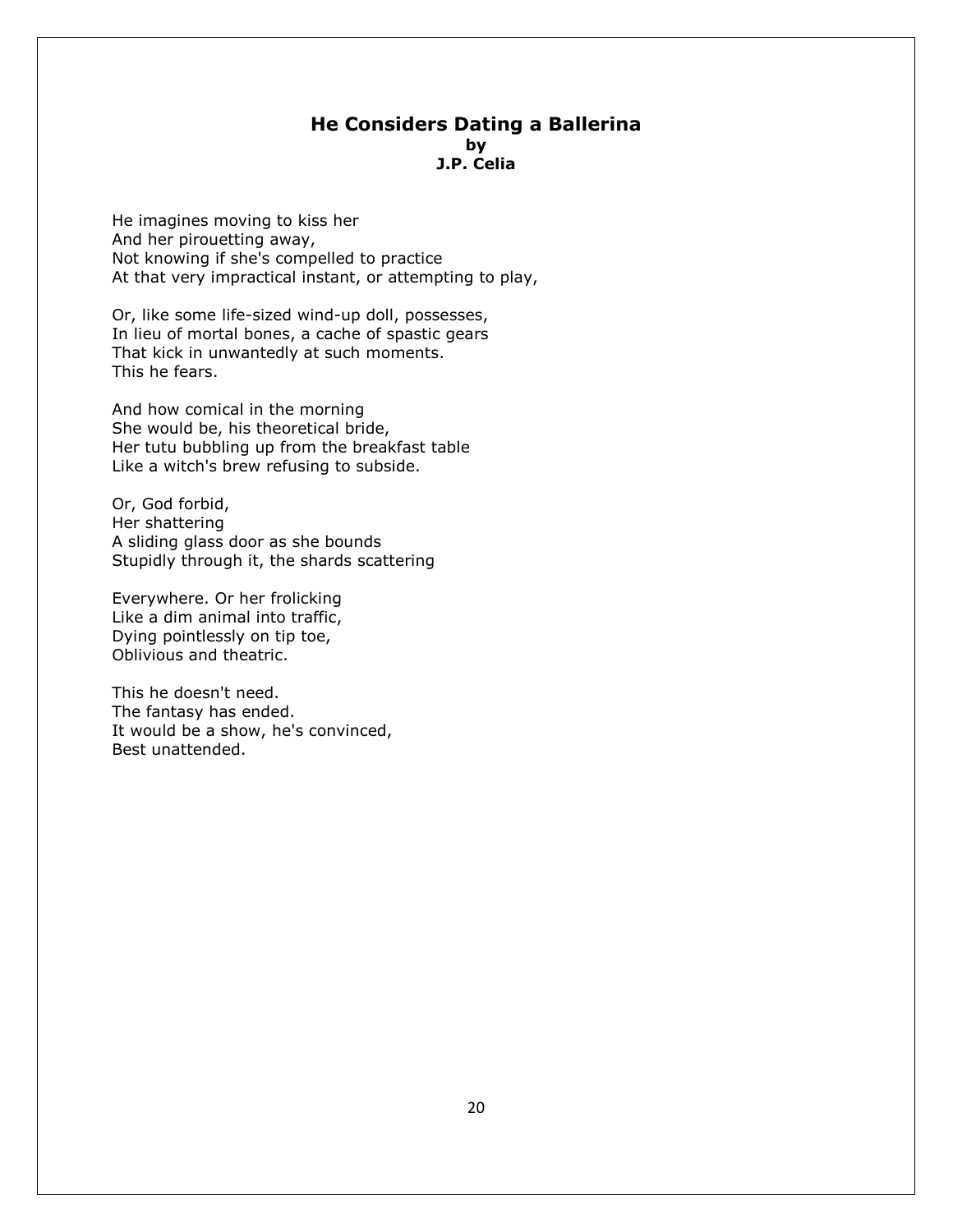# **He Considers Dating a Ballerina by J.P. Celia**

He imagines moving to kiss her And her pirouetting away, Not knowing if she's compelled to practice At that very impractical instant, or attempting to play,

Or, like some life-sized wind-up doll, possesses, In lieu of mortal bones, a cache of spastic gears That kick in unwantedly at such moments. This he fears.

And how comical in the morning She would be, his theoretical bride, Her tutu bubbling up from the breakfast table Like a witch's brew refusing to subside.

Or, God forbid, Her shattering A sliding glass door as she bounds Stupidly through it, the shards scattering

Everywhere. Or her frolicking Like a dim animal into traffic, Dying pointlessly on tip toe, Oblivious and theatric.

This he doesn't need. The fantasy has ended. It would be a show, he's convinced, Best unattended.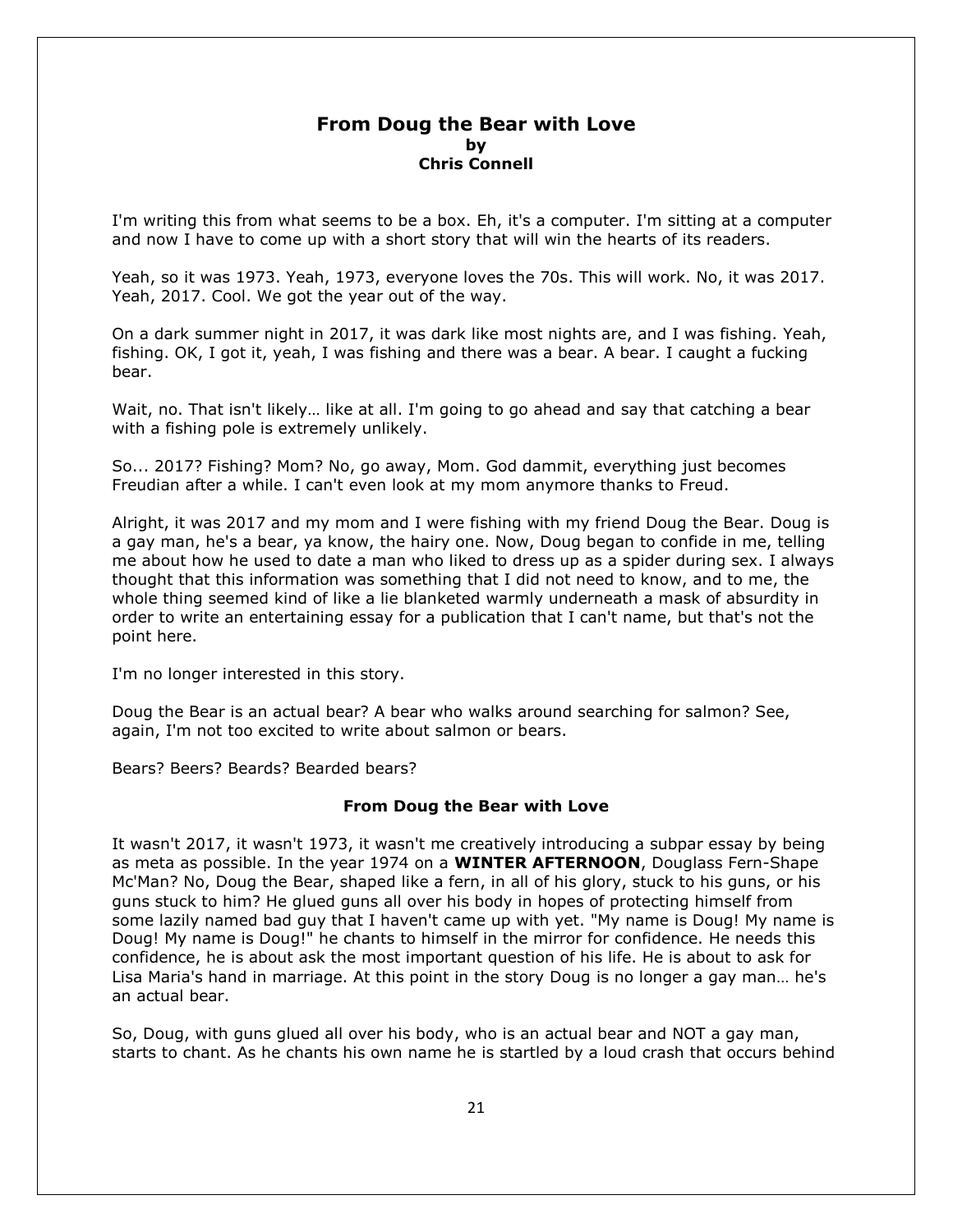# **From Doug the Bear with Love by Chris Connell**

I'm writing this from what seems to be a box. Eh, it's a computer. I'm sitting at a computer and now I have to come up with a short story that will win the hearts of its readers.

Yeah, so it was 1973. Yeah, 1973, everyone loves the 70s. This will work. No, it was 2017. Yeah, 2017. Cool. We got the year out of the way.

On a dark summer night in 2017, it was dark like most nights are, and I was fishing. Yeah, fishing. OK, I got it, yeah, I was fishing and there was a bear. A bear. I caught a fucking bear.

Wait, no. That isn't likely… like at all. I'm going to go ahead and say that catching a bear with a fishing pole is extremely unlikely.

So... 2017? Fishing? Mom? No, go away, Mom. God dammit, everything just becomes Freudian after a while. I can't even look at my mom anymore thanks to Freud.

Alright, it was 2017 and my mom and I were fishing with my friend Doug the Bear. Doug is a gay man, he's a bear, ya know, the hairy one. Now, Doug began to confide in me, telling me about how he used to date a man who liked to dress up as a spider during sex. I always thought that this information was something that I did not need to know, and to me, the whole thing seemed kind of like a lie blanketed warmly underneath a mask of absurdity in order to write an entertaining essay for a publication that I can't name, but that's not the point here.

I'm no longer interested in this story.

Doug the Bear is an actual bear? A bear who walks around searching for salmon? See, again, I'm not too excited to write about salmon or bears.

Bears? Beers? Beards? Bearded bears?

#### **From Doug the Bear with Love**

It wasn't 2017, it wasn't 1973, it wasn't me creatively introducing a subpar essay by being as meta as possible. In the year 1974 on a **WINTER AFTERNOON**, Douglass Fern-Shape Mc'Man? No, Doug the Bear, shaped like a fern, in all of his glory, stuck to his guns, or his guns stuck to him? He glued guns all over his body in hopes of protecting himself from some lazily named bad guy that I haven't came up with yet. "My name is Doug! My name is Doug! My name is Doug!" he chants to himself in the mirror for confidence. He needs this confidence, he is about ask the most important question of his life. He is about to ask for Lisa Maria's hand in marriage. At this point in the story Doug is no longer a gay man… he's an actual bear.

So, Doug, with guns glued all over his body, who is an actual bear and NOT a gay man, starts to chant. As he chants his own name he is startled by a loud crash that occurs behind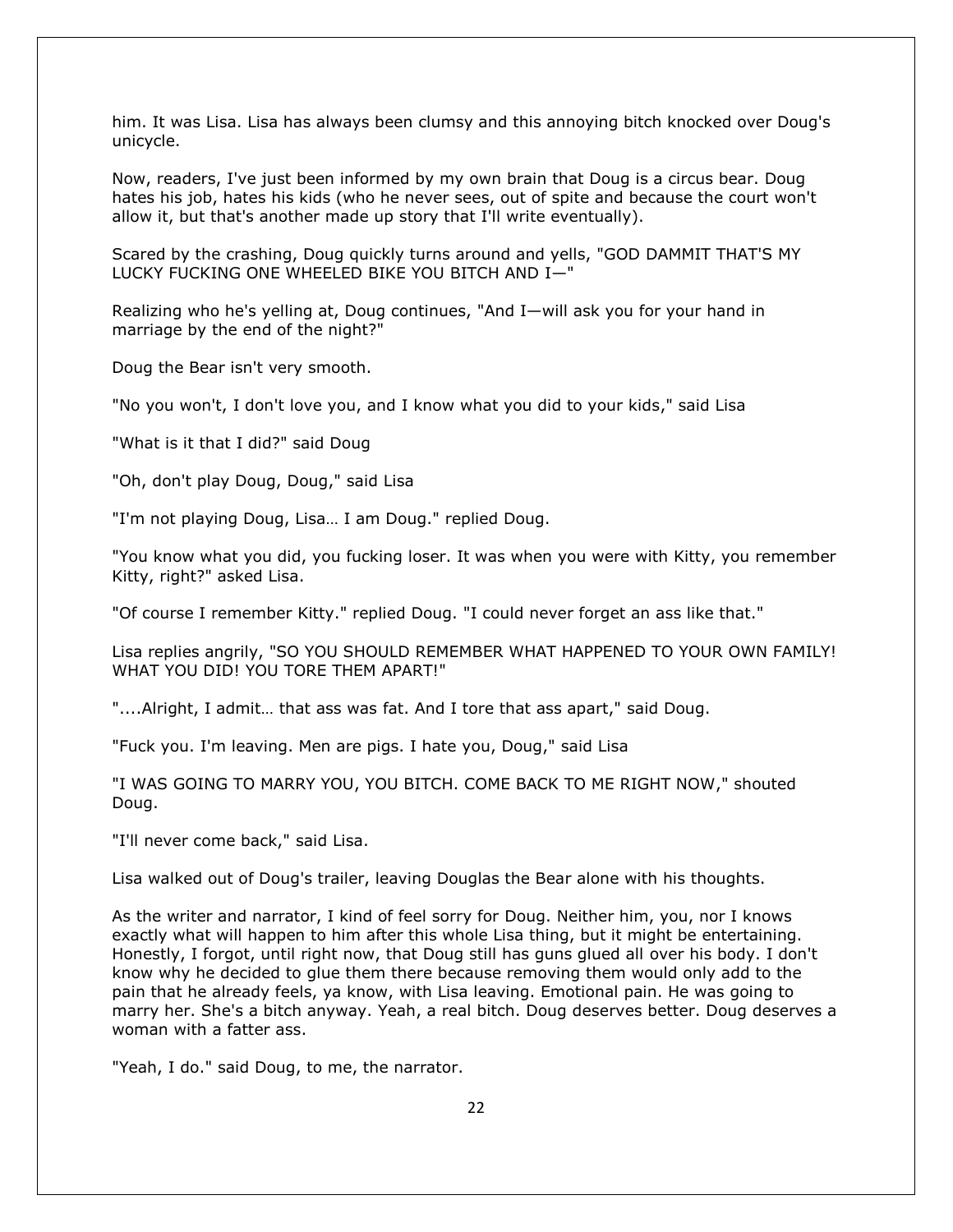him. It was Lisa. Lisa has always been clumsy and this annoying bitch knocked over Doug's unicycle.

Now, readers, I've just been informed by my own brain that Doug is a circus bear. Doug hates his job, hates his kids (who he never sees, out of spite and because the court won't allow it, but that's another made up story that I'll write eventually).

Scared by the crashing, Doug quickly turns around and yells, "GOD DAMMIT THAT'S MY LUCKY FUCKING ONE WHEELED BIKE YOU BITCH AND I—"

Realizing who he's yelling at, Doug continues, "And I—will ask you for your hand in marriage by the end of the night?"

Doug the Bear isn't very smooth.

"No you won't, I don't love you, and I know what you did to your kids," said Lisa

"What is it that I did?" said Doug

"Oh, don't play Doug, Doug," said Lisa

"I'm not playing Doug, Lisa… I am Doug." replied Doug.

"You know what you did, you fucking loser. It was when you were with Kitty, you remember Kitty, right?" asked Lisa.

"Of course I remember Kitty." replied Doug. "I could never forget an ass like that."

Lisa replies angrily, "SO YOU SHOULD REMEMBER WHAT HAPPENED TO YOUR OWN FAMILY! WHAT YOU DID! YOU TORE THEM APART!"

"....Alright, I admit… that ass was fat. And I tore that ass apart," said Doug.

"Fuck you. I'm leaving. Men are pigs. I hate you, Doug," said Lisa

"I WAS GOING TO MARRY YOU, YOU BITCH. COME BACK TO ME RIGHT NOW," shouted Doug.

"I'll never come back," said Lisa.

Lisa walked out of Doug's trailer, leaving Douglas the Bear alone with his thoughts.

As the writer and narrator, I kind of feel sorry for Doug. Neither him, you, nor I knows exactly what will happen to him after this whole Lisa thing, but it might be entertaining. Honestly, I forgot, until right now, that Doug still has guns glued all over his body. I don't know why he decided to glue them there because removing them would only add to the pain that he already feels, ya know, with Lisa leaving. Emotional pain. He was going to marry her. She's a bitch anyway. Yeah, a real bitch. Doug deserves better. Doug deserves a woman with a fatter ass.

"Yeah, I do." said Doug, to me, the narrator.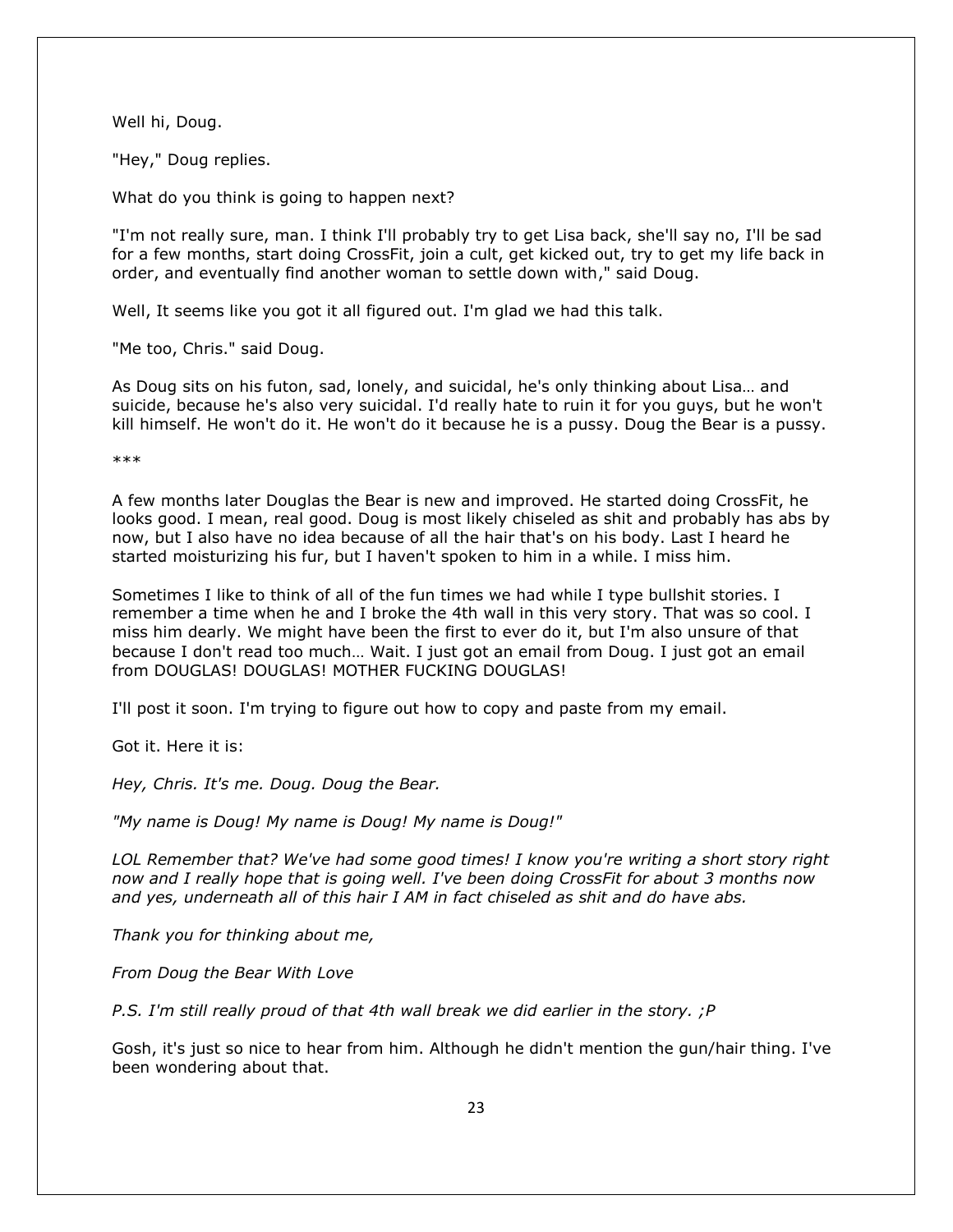Well hi, Doug.

"Hey," Doug replies.

What do you think is going to happen next?

"I'm not really sure, man. I think I'll probably try to get Lisa back, she'll say no, I'll be sad for a few months, start doing CrossFit, join a cult, get kicked out, try to get my life back in order, and eventually find another woman to settle down with," said Doug.

Well, It seems like you got it all figured out. I'm glad we had this talk.

"Me too, Chris." said Doug.

As Doug sits on his futon, sad, lonely, and suicidal, he's only thinking about Lisa… and suicide, because he's also very suicidal. I'd really hate to ruin it for you guys, but he won't kill himself. He won't do it. He won't do it because he is a pussy. Doug the Bear is a pussy.

\*\*\*

A few months later Douglas the Bear is new and improved. He started doing CrossFit, he looks good. I mean, real good. Doug is most likely chiseled as shit and probably has abs by now, but I also have no idea because of all the hair that's on his body. Last I heard he started moisturizing his fur, but I haven't spoken to him in a while. I miss him.

Sometimes I like to think of all of the fun times we had while I type bullshit stories. I remember a time when he and I broke the 4th wall in this very story. That was so cool. I miss him dearly. We might have been the first to ever do it, but I'm also unsure of that because I don't read too much… Wait. I just got an email from Doug. I just got an email from DOUGLAS! DOUGLAS! MOTHER FUCKING DOUGLAS!

I'll post it soon. I'm trying to figure out how to copy and paste from my email.

Got it. Here it is:

*Hey, Chris. It's me. Doug. Doug the Bear.* 

*"My name is Doug! My name is Doug! My name is Doug!"* 

*LOL Remember that? We've had some good times! I know you're writing a short story right now and I really hope that is going well. I've been doing CrossFit for about 3 months now and yes, underneath all of this hair I AM in fact chiseled as shit and do have abs.* 

*Thank you for thinking about me,* 

*From Doug the Bear With Love* 

*P.S. I'm still really proud of that 4th wall break we did earlier in the story. ;P*

Gosh, it's just so nice to hear from him. Although he didn't mention the gun/hair thing. I've been wondering about that.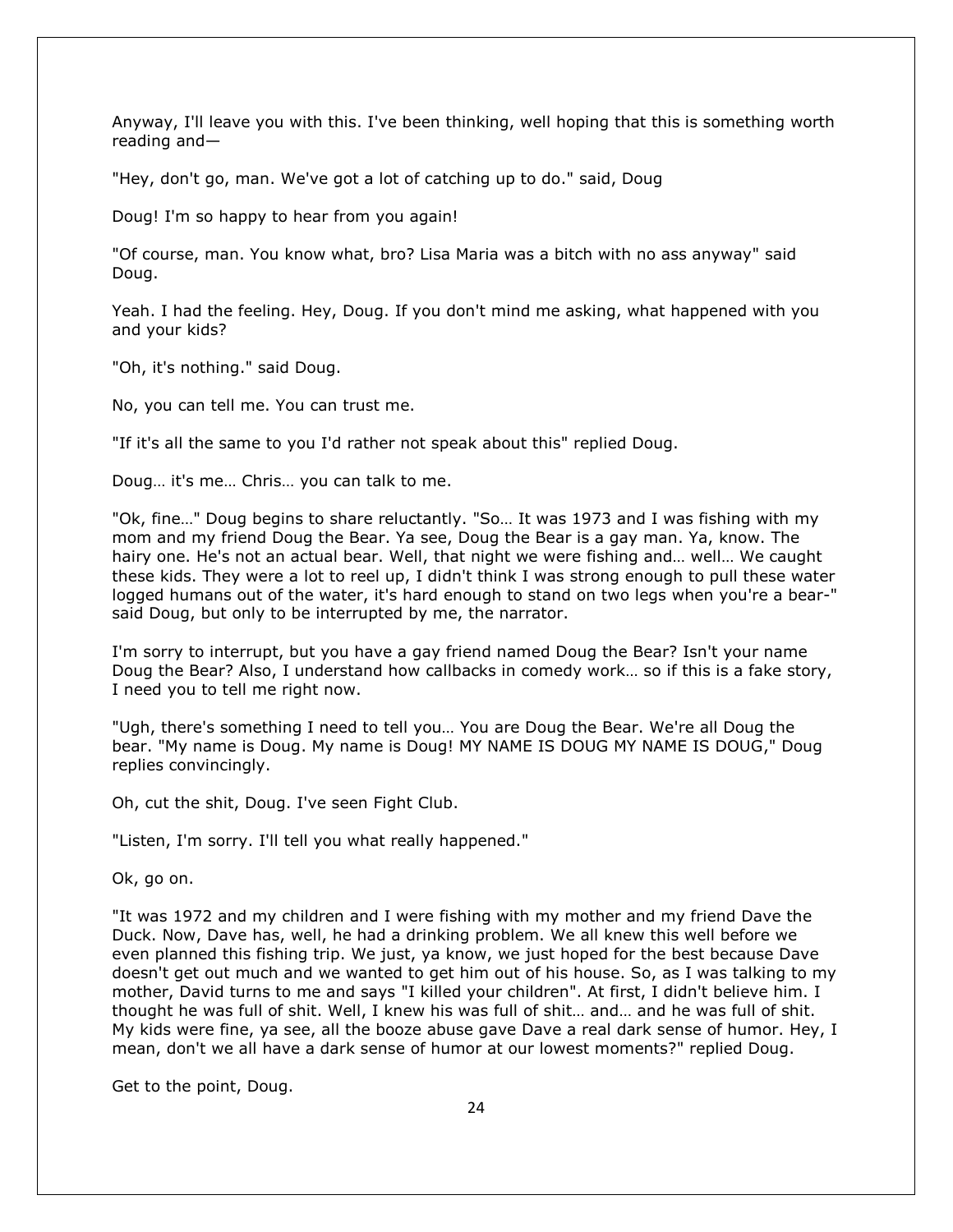Anyway, I'll leave you with this. I've been thinking, well hoping that this is something worth reading and—

"Hey, don't go, man. We've got a lot of catching up to do." said, Doug

Doug! I'm so happy to hear from you again!

"Of course, man. You know what, bro? Lisa Maria was a bitch with no ass anyway" said Doug.

Yeah. I had the feeling. Hey, Doug. If you don't mind me asking, what happened with you and your kids?

"Oh, it's nothing." said Doug.

No, you can tell me. You can trust me.

"If it's all the same to you I'd rather not speak about this" replied Doug.

Doug… it's me… Chris… you can talk to me.

"Ok, fine…" Doug begins to share reluctantly. "So… It was 1973 and I was fishing with my mom and my friend Doug the Bear. Ya see, Doug the Bear is a gay man. Ya, know. The hairy one. He's not an actual bear. Well, that night we were fishing and… well… We caught these kids. They were a lot to reel up, I didn't think I was strong enough to pull these water logged humans out of the water, it's hard enough to stand on two legs when you're a bear-" said Doug, but only to be interrupted by me, the narrator.

I'm sorry to interrupt, but you have a gay friend named Doug the Bear? Isn't your name Doug the Bear? Also, I understand how callbacks in comedy work… so if this is a fake story, I need you to tell me right now.

"Ugh, there's something I need to tell you… You are Doug the Bear. We're all Doug the bear. "My name is Doug. My name is Doug! MY NAME IS DOUG MY NAME IS DOUG," Doug replies convincingly.

Oh, cut the shit, Doug. I've seen Fight Club.

"Listen, I'm sorry. I'll tell you what really happened."

Ok, go on.

"It was 1972 and my children and I were fishing with my mother and my friend Dave the Duck. Now, Dave has, well, he had a drinking problem. We all knew this well before we even planned this fishing trip. We just, ya know, we just hoped for the best because Dave doesn't get out much and we wanted to get him out of his house. So, as I was talking to my mother, David turns to me and says "I killed your children". At first, I didn't believe him. I thought he was full of shit. Well, I knew his was full of shit… and… and he was full of shit. My kids were fine, ya see, all the booze abuse gave Dave a real dark sense of humor. Hey, I mean, don't we all have a dark sense of humor at our lowest moments?" replied Doug.

Get to the point, Doug.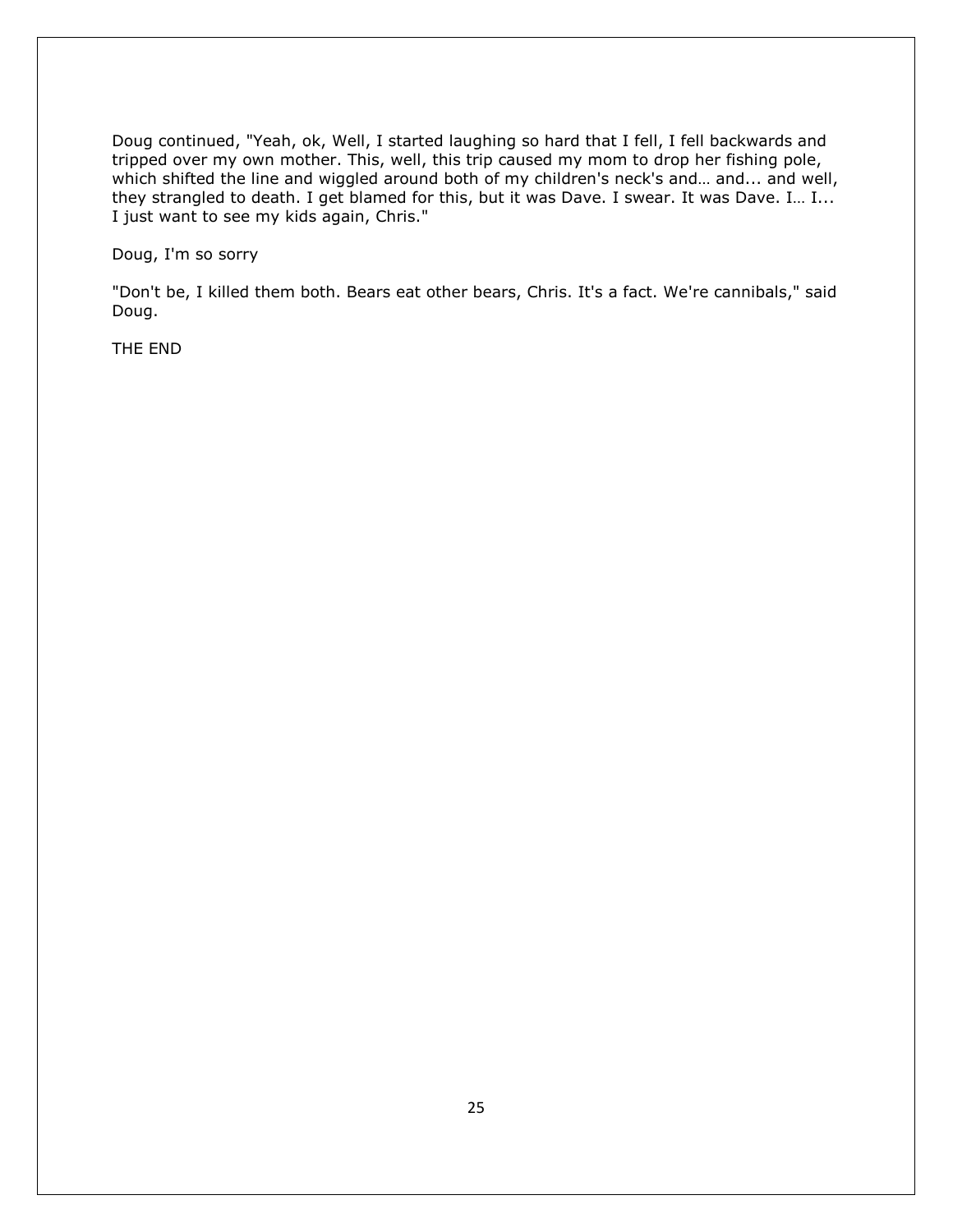Doug continued, "Yeah, ok, Well, I started laughing so hard that I fell, I fell backwards and tripped over my own mother. This, well, this trip caused my mom to drop her fishing pole, which shifted the line and wiggled around both of my children's neck's and... and... and well, they strangled to death. I get blamed for this, but it was Dave. I swear. It was Dave. I… I... I just want to see my kids again, Chris."

Doug, I'm so sorry

"Don't be, I killed them both. Bears eat other bears, Chris. It's a fact. We're cannibals," said Doug.

THE END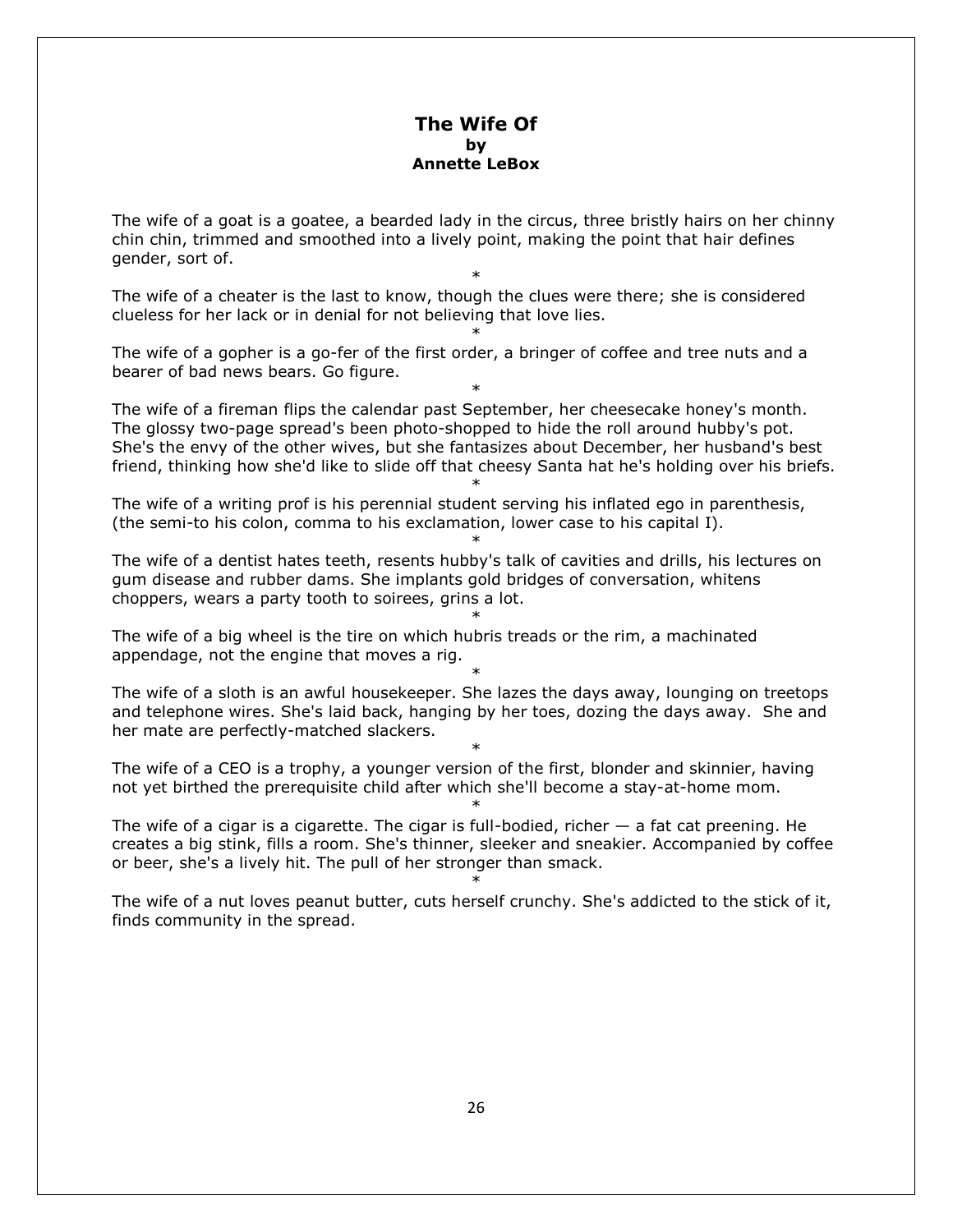# **The Wife Of by Annette LeBox**

The wife of a goat is a goatee, a bearded lady in the circus, three bristly hairs on her chinny chin chin, trimmed and smoothed into a lively point, making the point that hair defines gender, sort of.

\*

\*

\*

The wife of a cheater is the last to know, though the clues were there; she is considered clueless for her lack or in denial for not believing that love lies.

The wife of a gopher is a go-fer of the first order, a bringer of coffee and tree nuts and a bearer of bad news bears. Go figure.

The wife of a fireman flips the calendar past September, her cheesecake honey's month. The glossy two-page spread's been photo-shopped to hide the roll around hubby's pot. She's the envy of the other wives, but she fantasizes about December, her husband's best friend, thinking how she'd like to slide off that cheesy Santa hat he's holding over his briefs.

\*

\*

\*

The wife of a writing prof is his perennial student serving his inflated ego in parenthesis, (the semi-to his colon, comma to his exclamation, lower case to his capital I).

The wife of a dentist hates teeth, resents hubby's talk of cavities and drills, his lectures on gum disease and rubber dams. She implants gold bridges of conversation, whitens choppers, wears a party tooth to soirees, grins a lot.

The wife of a big wheel is the tire on which hubris treads or the rim, a machinated appendage, not the engine that moves a rig.

The wife of a sloth is an awful housekeeper. She lazes the days away, lounging on treetops and telephone wires. She's laid back, hanging by her toes, dozing the days away. She and her mate are perfectly-matched slackers.

\*

\*

The wife of a CEO is a trophy, a younger version of the first, blonder and skinnier, having not yet birthed the prerequisite child after which she'll become a stay-at-home mom.

The wife of a cigar is a cigarette. The cigar is full-bodied, richer  $-$  a fat cat preening. He creates a big stink, fills a room. She's thinner, sleeker and sneakier. Accompanied by coffee or beer, she's a lively hit. The pull of her stronger than smack.

\*

\* The wife of a nut loves peanut butter, cuts herself crunchy. She's addicted to the stick of it, finds community in the spread.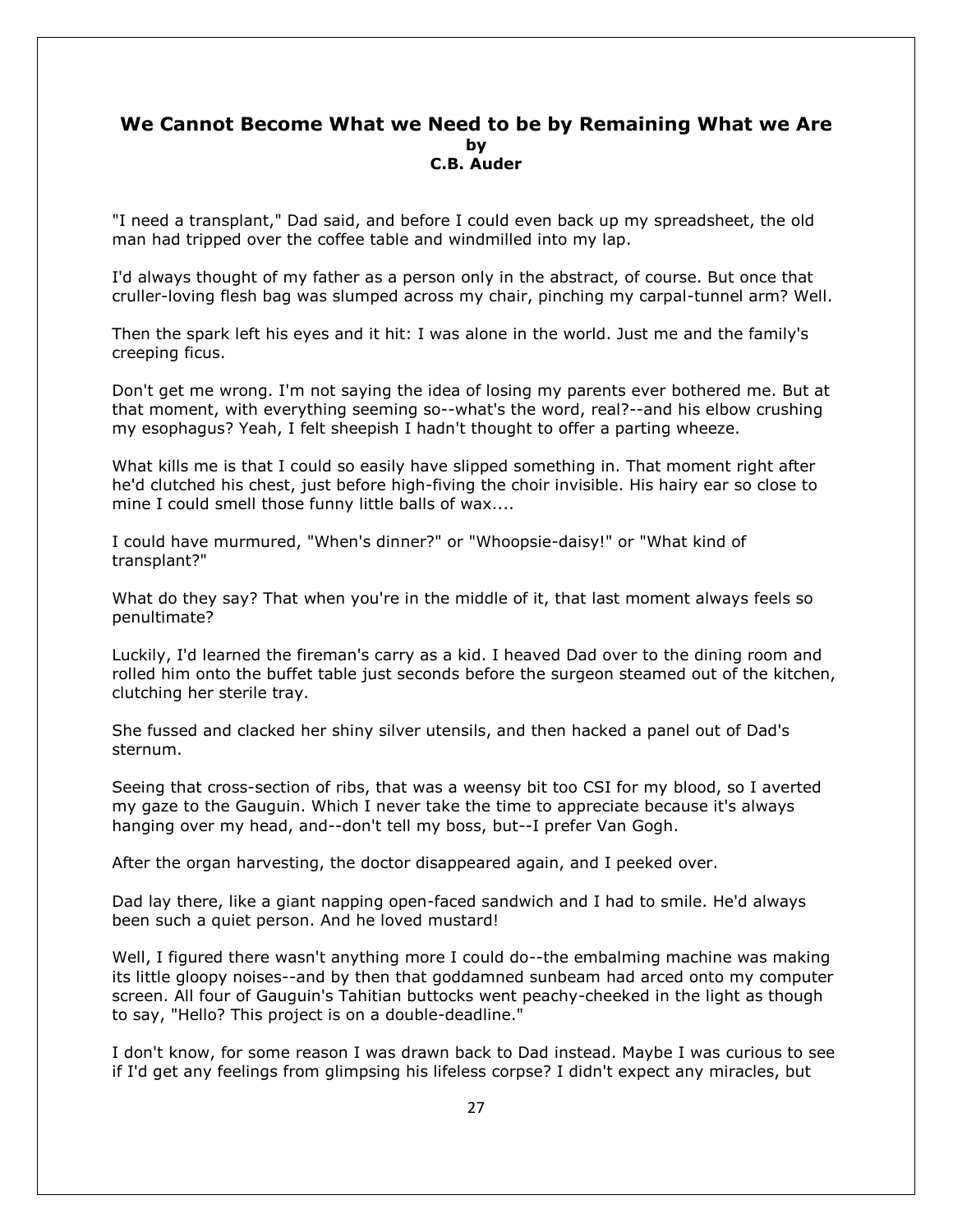# **We Cannot Become What we Need to be by Remaining What we Are by C.B. Auder**

"I need a transplant," Dad said, and before I could even back up my spreadsheet, the old man had tripped over the coffee table and windmilled into my lap.

I'd always thought of my father as a person only in the abstract, of course. But once that cruller-loving flesh bag was slumped across my chair, pinching my carpal-tunnel arm? Well.

Then the spark left his eyes and it hit: I was alone in the world. Just me and the family's creeping ficus.

Don't get me wrong. I'm not saying the idea of losing my parents ever bothered me. But at that moment, with everything seeming so--what's the word, real?--and his elbow crushing my esophagus? Yeah, I felt sheepish I hadn't thought to offer a parting wheeze.

What kills me is that I could so easily have slipped something in. That moment right after he'd clutched his chest, just before high-fiving the choir invisible. His hairy ear so close to mine I could smell those funny little balls of wax....

I could have murmured, "When's dinner?" or "Whoopsie-daisy!" or "What kind of transplant?"

What do they say? That when you're in the middle of it, that last moment always feels so penultimate?

Luckily, I'd learned the fireman's carry as a kid. I heaved Dad over to the dining room and rolled him onto the buffet table just seconds before the surgeon steamed out of the kitchen, clutching her sterile tray.

She fussed and clacked her shiny silver utensils, and then hacked a panel out of Dad's sternum.

Seeing that cross-section of ribs, that was a weensy bit too CSI for my blood, so I averted my gaze to the Gauguin. Which I never take the time to appreciate because it's always hanging over my head, and--don't tell my boss, but--I prefer Van Gogh.

After the organ harvesting, the doctor disappeared again, and I peeked over.

Dad lay there, like a giant napping open-faced sandwich and I had to smile. He'd always been such a quiet person. And he loved mustard!

Well, I figured there wasn't anything more I could do--the embalming machine was making its little gloopy noises--and by then that goddamned sunbeam had arced onto my computer screen. All four of Gauguin's Tahitian buttocks went peachy-cheeked in the light as though to say, "Hello? This project is on a double-deadline."

I don't know, for some reason I was drawn back to Dad instead. Maybe I was curious to see if I'd get any feelings from glimpsing his lifeless corpse? I didn't expect any miracles, but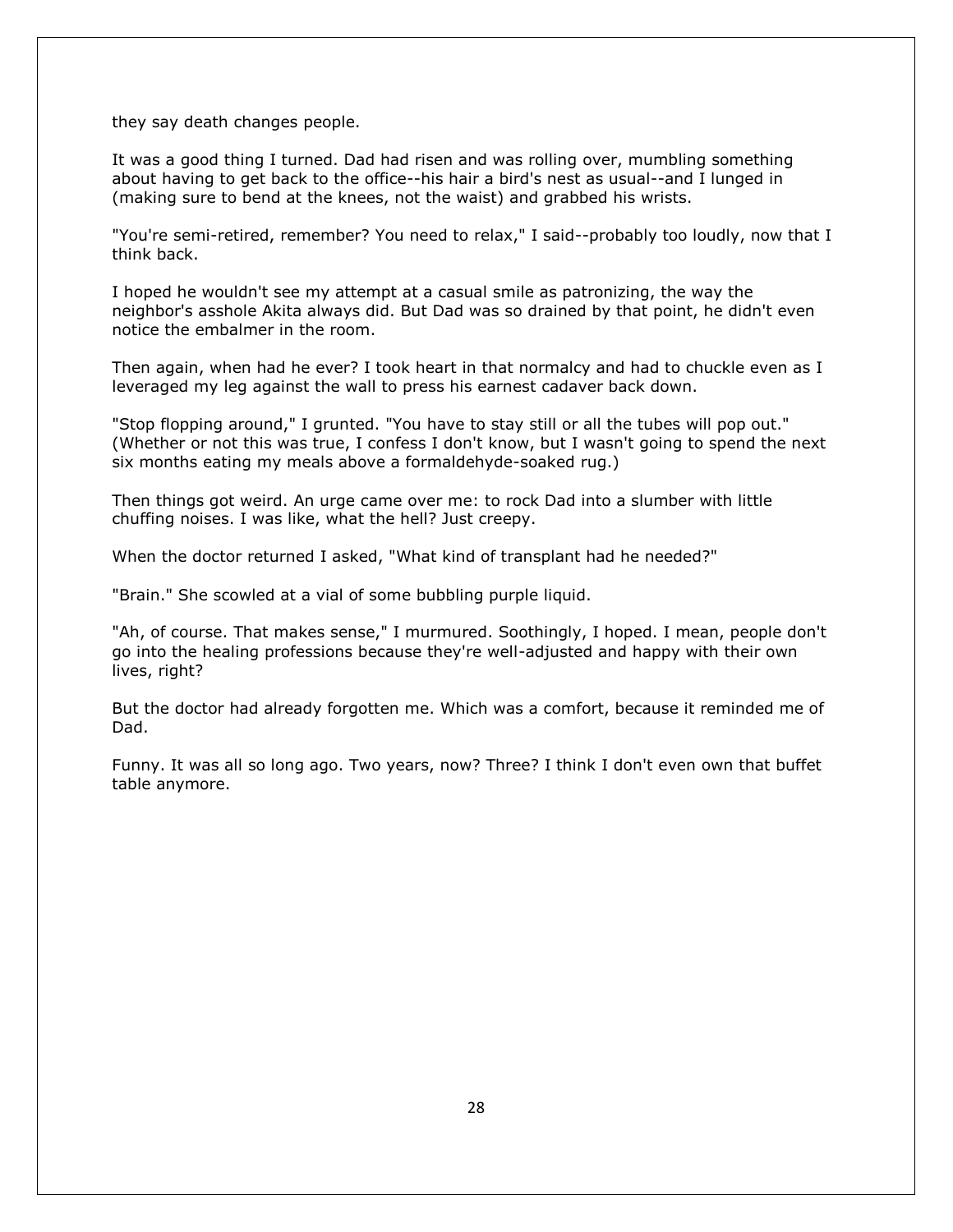they say death changes people.

It was a good thing I turned. Dad had risen and was rolling over, mumbling something about having to get back to the office--his hair a bird's nest as usual--and I lunged in (making sure to bend at the knees, not the waist) and grabbed his wrists.

"You're semi-retired, remember? You need to relax," I said--probably too loudly, now that I think back.

I hoped he wouldn't see my attempt at a casual smile as patronizing, the way the neighbor's asshole Akita always did. But Dad was so drained by that point, he didn't even notice the embalmer in the room.

Then again, when had he ever? I took heart in that normalcy and had to chuckle even as I leveraged my leg against the wall to press his earnest cadaver back down.

"Stop flopping around," I grunted. "You have to stay still or all the tubes will pop out." (Whether or not this was true, I confess I don't know, but I wasn't going to spend the next six months eating my meals above a formaldehyde-soaked rug.)

Then things got weird. An urge came over me: to rock Dad into a slumber with little chuffing noises. I was like, what the hell? Just creepy.

When the doctor returned I asked, "What kind of transplant had he needed?"

"Brain." She scowled at a vial of some bubbling purple liquid.

"Ah, of course. That makes sense," I murmured. Soothingly, I hoped. I mean, people don't go into the healing professions because they're well-adjusted and happy with their own lives, right?

But the doctor had already forgotten me. Which was a comfort, because it reminded me of Dad.

Funny. It was all so long ago. Two years, now? Three? I think I don't even own that buffet table anymore.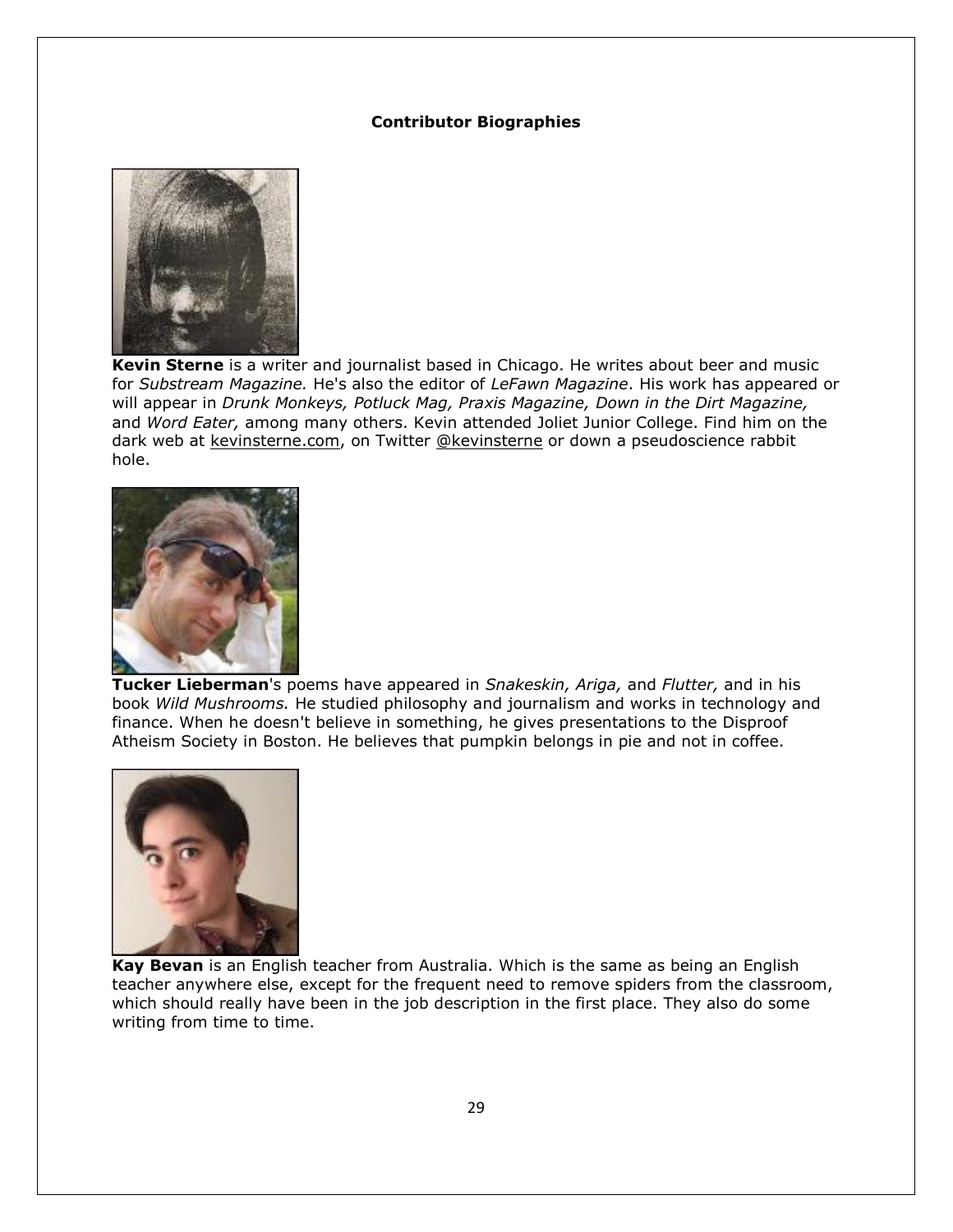#### **Contributor Biographies**



**Kevin Sterne** is a writer and journalist based in Chicago. He writes about beer and music for *Substream Magazine.* He's also the editor of *LeFawn Magazine*. His work has appeared or will appear in *Drunk Monkeys, Potluck Mag, Praxis Magazine, Down in the Dirt Magazine,*  and *Word Eater,* among many others. Kevin attended Joliet Junior College. Find him on the dark web at [kevinsterne.com,](http://kevinsterne.com/) on Twitter [@kevinsterne](twitter.com/kevinsterne) or down a pseudoscience rabbit hole.



**Tucker Lieberman**'s poems have appeared in *Snakeskin, Ariga,* and *Flutter,* and in his book *Wild Mushrooms.* He studied philosophy and journalism and works in technology and finance. When he doesn't believe in something, he gives presentations to the Disproof Atheism Society in Boston. He believes that pumpkin belongs in pie and not in coffee.



**Kay Bevan** is an English teacher from Australia. Which is the same as being an English teacher anywhere else, except for the frequent need to remove spiders from the classroom, which should really have been in the job description in the first place. They also do some writing from time to time.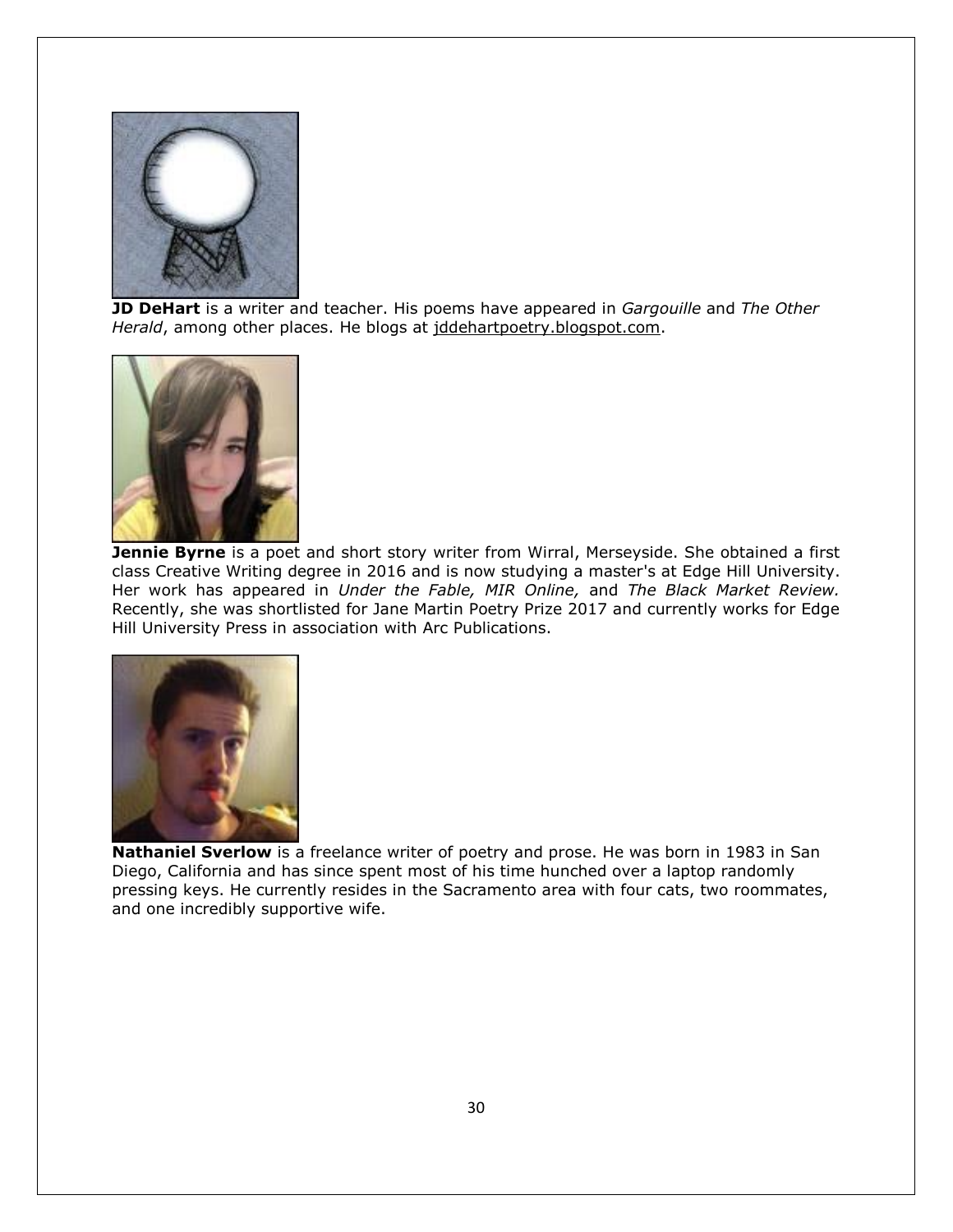

**JD DeHart** is a writer and teacher. His poems have appeared in *Gargouille* and *The Other Herald*, among other places. He blogs at [jddehartpoetry.blogspot.com.](http://jddehartpoetry.blogspot.com/)



**Jennie Byrne** is a poet and short story writer from Wirral, Merseyside. She obtained a first class Creative Writing degree in 2016 and is now studying a master's at Edge Hill University. Her work has appeared in *Under the Fable, MIR Online,* and *The Black Market Review.* Recently, she was shortlisted for Jane Martin Poetry Prize 2017 and currently works for Edge Hill University Press in association with Arc Publications.



**Nathaniel Sverlow** is a freelance writer of poetry and prose. He was born in 1983 in San Diego, California and has since spent most of his time hunched over a laptop randomly pressing keys. He currently resides in the Sacramento area with four cats, two roommates, and one incredibly supportive wife.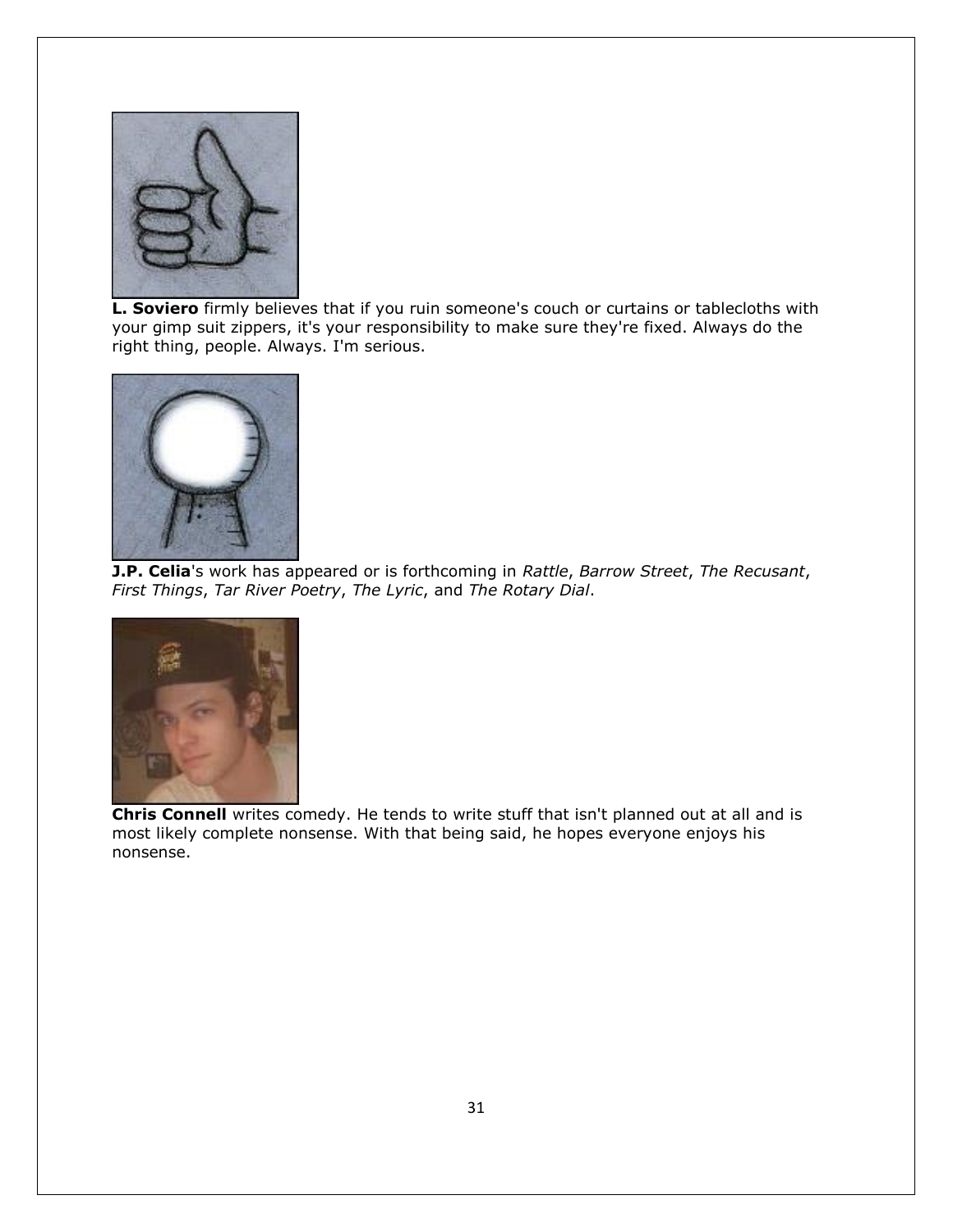

**L. Soviero** firmly believes that if you ruin someone's couch or curtains or tablecloths with your gimp suit zippers, it's your responsibility to make sure they're fixed. Always do the right thing, people. Always. I'm serious.



**J.P. Celia**'s work has appeared or is forthcoming in *Rattle*, *Barrow Street*, *The Recusant*, *First Things*, *Tar River Poetry*, *The Lyric*, and *The Rotary Dial*.



**Chris Connell** writes comedy. He tends to write stuff that isn't planned out at all and is most likely complete nonsense. With that being said, he hopes everyone enjoys his nonsense.